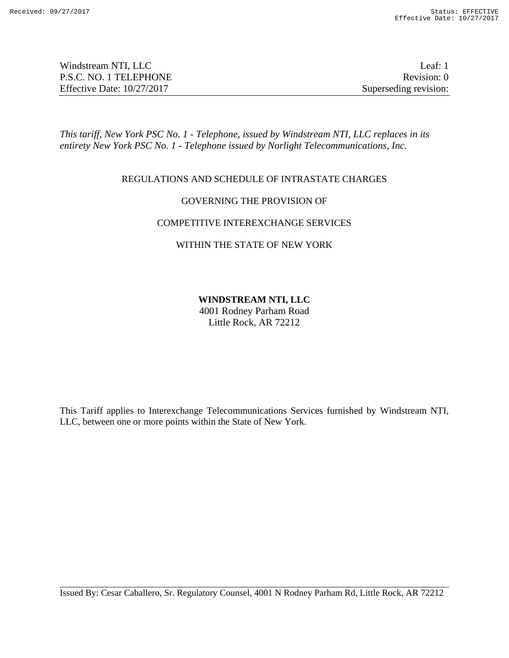| Windstream NTI, LLC          | Leaf: 1               |
|------------------------------|-----------------------|
| P.S.C. NO. 1 TELEPHONE       | Revision: 0           |
| Effective Date: $10/27/2017$ | Superseding revision: |

*This tariff, New York PSC No. 1 - Telephone, issued by Windstream NTI, LLC replaces in its entirety New York PSC No. 1 - Telephone issued by Norlight Telecommunications, Inc.*

# REGULATIONS AND SCHEDULE OF INTRASTATE CHARGES

# GOVERNING THE PROVISION OF

### COMPETITIVE INTEREXCHANGE SERVICES

### WITHIN THE STATE OF NEW YORK

# **WINDSTREAM NTI, LLC**

4001 Rodney Parham Road Little Rock, AR 72212

This Tariff applies to Interexchange Telecommunications Services furnished by Windstream NTI, LLC, between one or more points within the State of New York.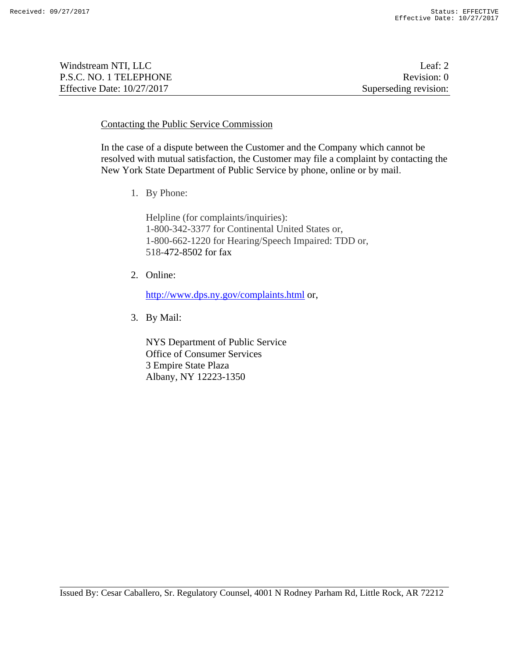| Windstream NTI, LLC          | Leaf: $2$             |
|------------------------------|-----------------------|
| P.S.C. NO. 1 TELEPHONE       | Revision: 0           |
| Effective Date: $10/27/2017$ | Superseding revision: |

### Contacting the Public Service Commission

In the case of a dispute between the Customer and the Company which cannot be resolved with mutual satisfaction, the Customer may file a complaint by contacting the New York State Department of Public Service by phone, online or by mail.

1. By Phone:

Helpline (for complaints/inquiries): 1-800-342-3377 for Continental United States or, 1-800-662-1220 for Hearing/Speech Impaired: TDD or, 518-472-8502 for fax

2. Online:

http://www.dps.ny.gov/complaints.html or,

3. By Mail:

NYS Department of Public Service Office of Consumer Services 3 Empire State Plaza Albany, NY 12223-1350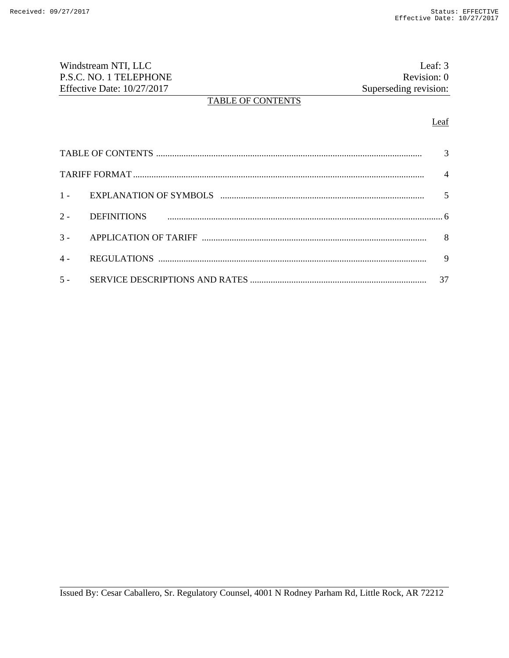| Windstream NTI, LLC          |                          | Leaf: 3               |
|------------------------------|--------------------------|-----------------------|
| P.S.C. NO. 1 TELEPHONE       |                          | Revision: 0           |
| Effective Date: $10/27/2017$ |                          | Superseding revision: |
|                              | <b>TABLE OF CONTENTS</b> |                       |

# Leaf

|       |                    | $\overline{4}$ |
|-------|--------------------|----------------|
|       |                    |                |
| $2 -$ | <b>DEFINITIONS</b> |                |
|       |                    | 8              |
| $4 -$ |                    | 9              |
| $5 -$ |                    | 37             |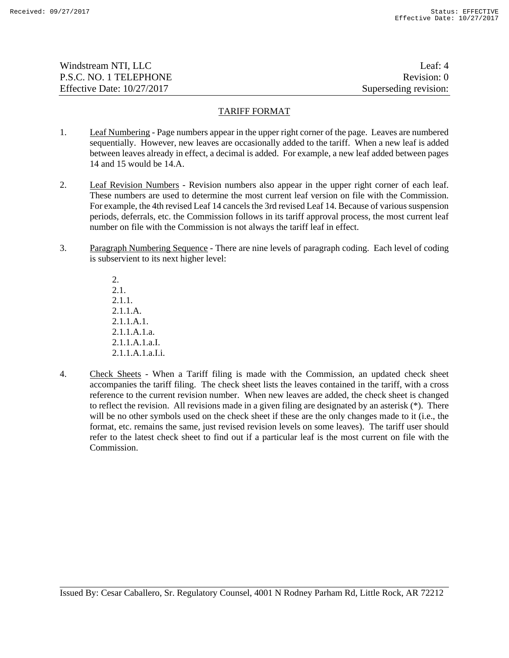| Windstream NTI, LLC          | Leaf: $4$             |
|------------------------------|-----------------------|
| P.S.C. NO. 1 TELEPHONE       | Revision: 0           |
| Effective Date: $10/27/2017$ | Superseding revision: |

#### TARIFF FORMAT

- 1. Leaf Numbering Page numbers appear in the upper right corner of the page. Leaves are numbered sequentially. However, new leaves are occasionally added to the tariff. When a new leaf is added between leaves already in effect, a decimal is added. For example, a new leaf added between pages 14 and 15 would be 14.A.
- 2. Leaf Revision Numbers Revision numbers also appear in the upper right corner of each leaf. These numbers are used to determine the most current leaf version on file with the Commission. For example, the 4th revised Leaf 14 cancels the 3rd revised Leaf 14. Because of various suspension periods, deferrals, etc. the Commission follows in its tariff approval process, the most current leaf number on file with the Commission is not always the tariff leaf in effect.
- 3. Paragraph Numbering Sequence There are nine levels of paragraph coding. Each level of coding is subservient to its next higher level:

 $2<sup>1</sup>$ 2.1. 2.1.1. 2.1.1.A. 2.1.1.A.1. 2.1.1.A.1.a. 2.1.1.A.1.a.I. 2.1.1.A.1.a.I.i.

4. Check Sheets - When a Tariff filing is made with the Commission, an updated check sheet accompanies the tariff filing. The check sheet lists the leaves contained in the tariff, with a cross reference to the current revision number. When new leaves are added, the check sheet is changed to reflect the revision. All revisions made in a given filing are designated by an asterisk (\*). There will be no other symbols used on the check sheet if these are the only changes made to it (i.e., the format, etc. remains the same, just revised revision levels on some leaves). The tariff user should refer to the latest check sheet to find out if a particular leaf is the most current on file with the Commission.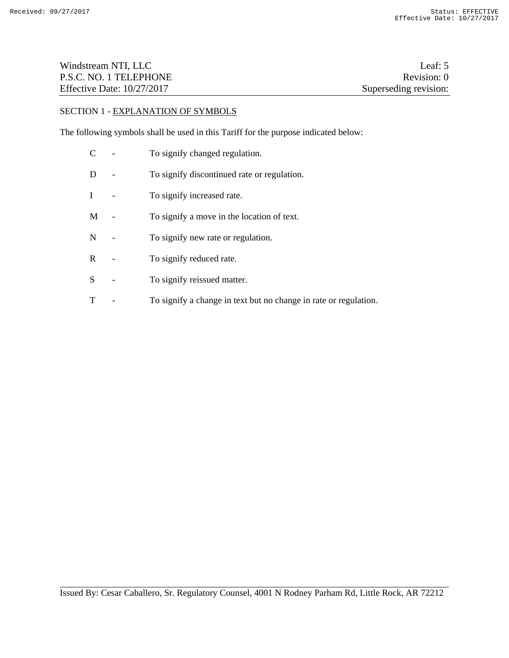| Windstream NTI, LLC          | Leaf: 5               |
|------------------------------|-----------------------|
| P.S.C. NO. 1 TELEPHONE       | Revision: 0           |
| Effective Date: $10/27/2017$ | Superseding revision: |

# SECTION 1 - EXPLANATION OF SYMBOLS

The following symbols shall be used in this Tariff for the purpose indicated below:

C - To signify changed regulation. D - To signify discontinued rate or regulation. I - To signify increased rate. M - To signify a move in the location of text. N - To signify new rate or regulation. R - To signify reduced rate. S - To signify reissued matter. T - To signify a change in text but no change in rate or regulation.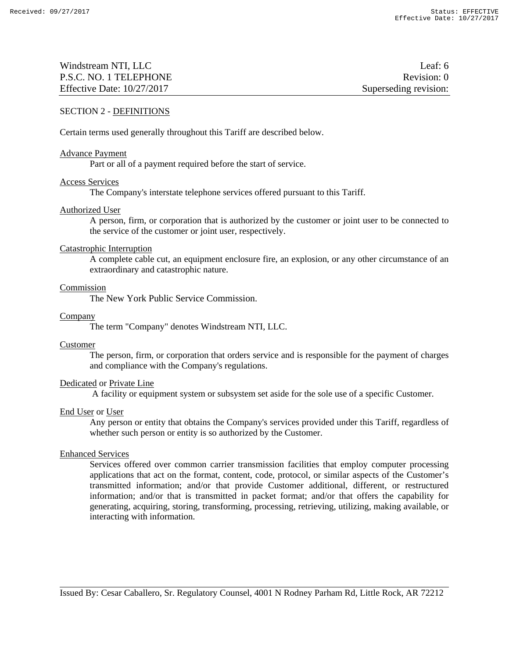| Windstream NTI, LLC          | Leaf: $6$             |
|------------------------------|-----------------------|
| P.S.C. NO. 1 TELEPHONE       | Revision: 0           |
| Effective Date: $10/27/2017$ | Superseding revision: |

### SECTION 2 - DEFINITIONS

Certain terms used generally throughout this Tariff are described below.

#### Advance Payment

Part or all of a payment required before the start of service.

#### Access Services

The Company's interstate telephone services offered pursuant to this Tariff.

#### Authorized User

A person, firm, or corporation that is authorized by the customer or joint user to be connected to the service of the customer or joint user, respectively.

#### Catastrophic Interruption

A complete cable cut, an equipment enclosure fire, an explosion, or any other circumstance of an extraordinary and catastrophic nature.

#### Commission

The New York Public Service Commission.

#### Company

The term "Company" denotes Windstream NTI, LLC.

### Customer

The person, firm, or corporation that orders service and is responsible for the payment of charges and compliance with the Company's regulations.

### Dedicated or Private Line

A facility or equipment system or subsystem set aside for the sole use of a specific Customer.

#### End User or User

Any person or entity that obtains the Company's services provided under this Tariff, regardless of whether such person or entity is so authorized by the Customer.

#### Enhanced Services

Services offered over common carrier transmission facilities that employ computer processing applications that act on the format, content, code, protocol, or similar aspects of the Customer's transmitted information; and/or that provide Customer additional, different, or restructured information; and/or that is transmitted in packet format; and/or that offers the capability for generating, acquiring, storing, transforming, processing, retrieving, utilizing, making available, or interacting with information.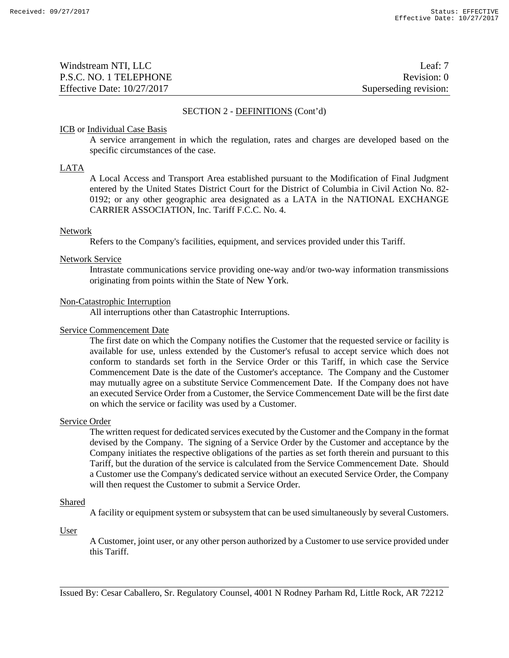| Windstream NTI, LLC          | Leaf: $7$             |
|------------------------------|-----------------------|
| P.S.C. NO. 1 TELEPHONE       | Revision: 0           |
| Effective Date: $10/27/2017$ | Superseding revision: |

#### SECTION 2 - DEFINITIONS (Cont'd)

#### ICB or Individual Case Basis

A service arrangement in which the regulation, rates and charges are developed based on the specific circumstances of the case.

#### LATA

A Local Access and Transport Area established pursuant to the Modification of Final Judgment entered by the United States District Court for the District of Columbia in Civil Action No. 82- 0192; or any other geographic area designated as a LATA in the NATIONAL EXCHANGE CARRIER ASSOCIATION, Inc. Tariff F.C.C. No. 4.

#### Network

Refers to the Company's facilities, equipment, and services provided under this Tariff.

#### Network Service

Intrastate communications service providing one-way and/or two-way information transmissions originating from points within the State of New York.

#### Non-Catastrophic Interruption

All interruptions other than Catastrophic Interruptions.

#### Service Commencement Date

The first date on which the Company notifies the Customer that the requested service or facility is available for use, unless extended by the Customer's refusal to accept service which does not conform to standards set forth in the Service Order or this Tariff, in which case the Service Commencement Date is the date of the Customer's acceptance. The Company and the Customer may mutually agree on a substitute Service Commencement Date. If the Company does not have an executed Service Order from a Customer, the Service Commencement Date will be the first date on which the service or facility was used by a Customer.

#### Service Order

The written request for dedicated services executed by the Customer and the Company in the format devised by the Company. The signing of a Service Order by the Customer and acceptance by the Company initiates the respective obligations of the parties as set forth therein and pursuant to this Tariff, but the duration of the service is calculated from the Service Commencement Date. Should a Customer use the Company's dedicated service without an executed Service Order, the Company will then request the Customer to submit a Service Order.

### Shared

A facility or equipment system or subsystem that can be used simultaneously by several Customers.

#### User

A Customer, joint user, or any other person authorized by a Customer to use service provided under this Tariff.

Issued By: Cesar Caballero, Sr. Regulatory Counsel, 4001 N Rodney Parham Rd, Little Rock, AR 72212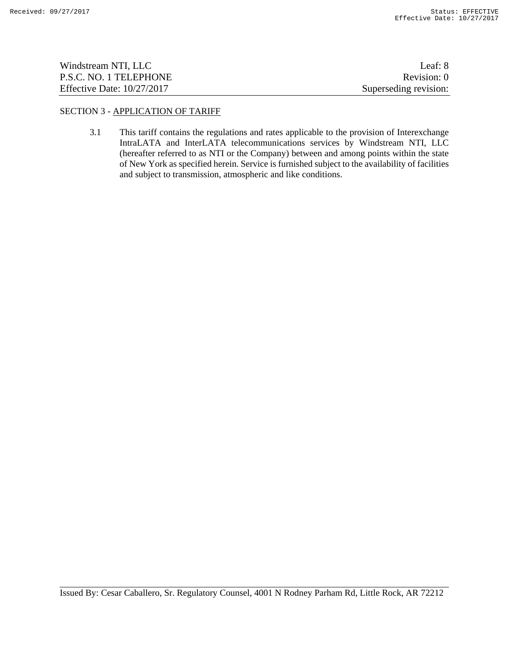| Windstream NTI, LLC          | Leaf: 8               |
|------------------------------|-----------------------|
| P.S.C. NO. 1 TELEPHONE       | Revision: 0           |
| Effective Date: $10/27/2017$ | Superseding revision: |

# SECTION 3 - APPLICATION OF TARIFF

3.1 This tariff contains the regulations and rates applicable to the provision of Interexchange IntraLATA and InterLATA telecommunications services by Windstream NTI, LLC (hereafter referred to as NTI or the Company) between and among points within the state of New York as specified herein. Service is furnished subject to the availability of facilities and subject to transmission, atmospheric and like conditions.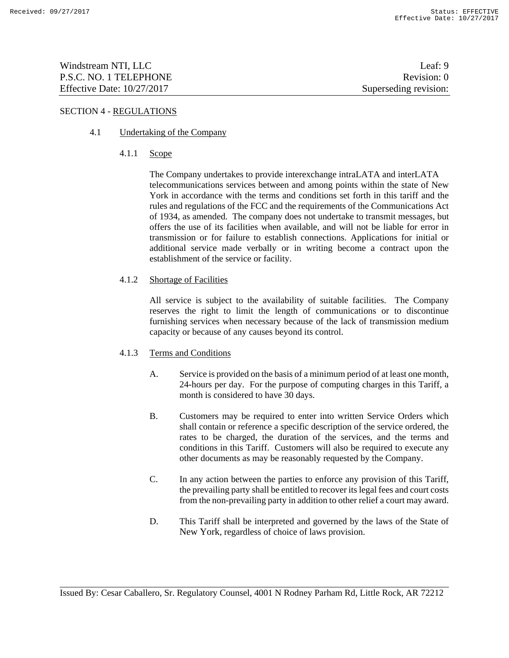| Windstream NTI, LLC          | Leaf: $9$             |
|------------------------------|-----------------------|
| P.S.C. NO. 1 TELEPHONE       | Revision: 0           |
| Effective Date: $10/27/2017$ | Superseding revision: |

# SECTION 4 - REGULATIONS

# 4.1 Undertaking of the Company

4.1.1 Scope

The Company undertakes to provide interexchange intraLATA and interLATA telecommunications services between and among points within the state of New York in accordance with the terms and conditions set forth in this tariff and the rules and regulations of the FCC and the requirements of the Communications Act of 1934, as amended. The company does not undertake to transmit messages, but offers the use of its facilities when available, and will not be liable for error in transmission or for failure to establish connections. Applications for initial or additional service made verbally or in writing become a contract upon the establishment of the service or facility.

4.1.2 Shortage of Facilities

All service is subject to the availability of suitable facilities. The Company reserves the right to limit the length of communications or to discontinue furnishing services when necessary because of the lack of transmission medium capacity or because of any causes beyond its control.

# 4.1.3 Terms and Conditions

- A. Service is provided on the basis of a minimum period of at least one month, 24-hours per day. For the purpose of computing charges in this Tariff, a month is considered to have 30 days.
- B. Customers may be required to enter into written Service Orders which shall contain or reference a specific description of the service ordered, the rates to be charged, the duration of the services, and the terms and conditions in this Tariff. Customers will also be required to execute any other documents as may be reasonably requested by the Company.
- C. In any action between the parties to enforce any provision of this Tariff, the prevailing party shall be entitled to recover its legal fees and court costs from the non-prevailing party in addition to other relief a court may award.
- D. This Tariff shall be interpreted and governed by the laws of the State of New York, regardless of choice of laws provision.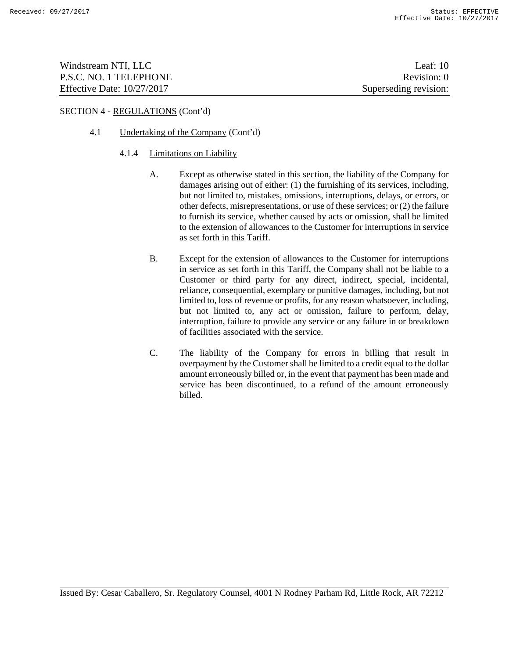| Windstream NTI, LLC          | Leaf: $10$            |
|------------------------------|-----------------------|
| P.S.C. NO. 1 TELEPHONE       | Revision: 0           |
| Effective Date: $10/27/2017$ | Superseding revision: |

# 4.1 Undertaking of the Company (Cont'd)

#### 4.1.4 Limitations on Liability

- A. Except as otherwise stated in this section, the liability of the Company for damages arising out of either: (1) the furnishing of its services, including, but not limited to, mistakes, omissions, interruptions, delays, or errors, or other defects, misrepresentations, or use of these services; or (2) the failure to furnish its service, whether caused by acts or omission, shall be limited to the extension of allowances to the Customer for interruptions in service as set forth in this Tariff.
- B. Except for the extension of allowances to the Customer for interruptions in service as set forth in this Tariff, the Company shall not be liable to a Customer or third party for any direct, indirect, special, incidental, reliance, consequential, exemplary or punitive damages, including, but not limited to, loss of revenue or profits, for any reason whatsoever, including, but not limited to, any act or omission, failure to perform, delay, interruption, failure to provide any service or any failure in or breakdown of facilities associated with the service.
- C. The liability of the Company for errors in billing that result in overpayment by the Customer shall be limited to a credit equal to the dollar amount erroneously billed or, in the event that payment has been made and service has been discontinued, to a refund of the amount erroneously billed.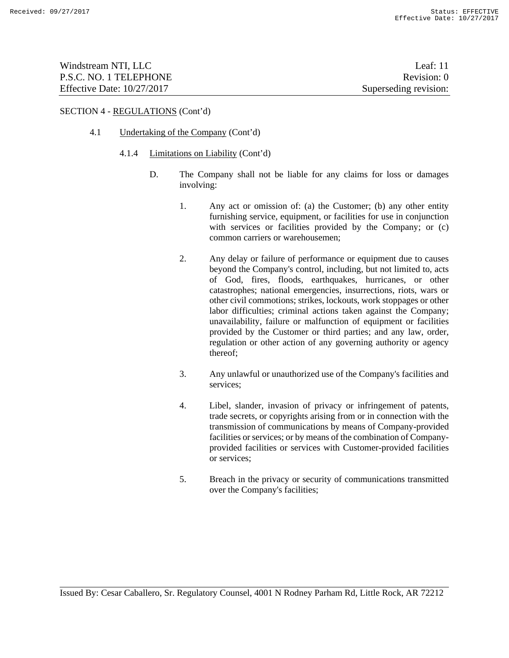| Windstream NTI, LLC          | Leaf: $11$            |
|------------------------------|-----------------------|
| P.S.C. NO. 1 TELEPHONE       | Revision: 0           |
| Effective Date: $10/27/2017$ | Superseding revision: |

### 4.1 Undertaking of the Company (Cont'd)

#### 4.1.4 Limitations on Liability (Cont'd)

- D. The Company shall not be liable for any claims for loss or damages involving:
	- 1. Any act or omission of: (a) the Customer; (b) any other entity furnishing service, equipment, or facilities for use in conjunction with services or facilities provided by the Company; or (c) common carriers or warehousemen;
	- 2. Any delay or failure of performance or equipment due to causes beyond the Company's control, including, but not limited to, acts of God, fires, floods, earthquakes, hurricanes, or other catastrophes; national emergencies, insurrections, riots, wars or other civil commotions; strikes, lockouts, work stoppages or other labor difficulties; criminal actions taken against the Company; unavailability, failure or malfunction of equipment or facilities provided by the Customer or third parties; and any law, order, regulation or other action of any governing authority or agency thereof;
	- 3. Any unlawful or unauthorized use of the Company's facilities and services;
	- 4. Libel, slander, invasion of privacy or infringement of patents, trade secrets, or copyrights arising from or in connection with the transmission of communications by means of Company-provided facilities or services; or by means of the combination of Companyprovided facilities or services with Customer-provided facilities or services;
	- 5. Breach in the privacy or security of communications transmitted over the Company's facilities;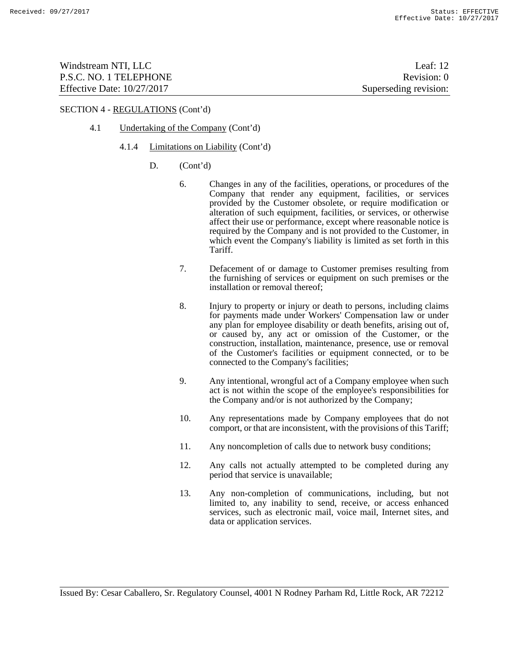| Windstream NTI, LLC          | Leaf: $12$            |
|------------------------------|-----------------------|
| P.S.C. NO. 1 TELEPHONE       | Revision: 0           |
| Effective Date: $10/27/2017$ | Superseding revision: |

- 4.1 Undertaking of the Company (Cont'd)
	- 4.1.4 Limitations on Liability (Cont'd)
		- D. (Cont'd)
			- 6. Changes in any of the facilities, operations, or procedures of the Company that render any equipment, facilities, or services provided by the Customer obsolete, or require modification or alteration of such equipment, facilities, or services, or otherwise affect their use or performance, except where reasonable notice is required by the Company and is not provided to the Customer, in which event the Company's liability is limited as set forth in this Tariff.
			- 7. Defacement of or damage to Customer premises resulting from the furnishing of services or equipment on such premises or the installation or removal thereof;
			- 8. Injury to property or injury or death to persons, including claims for payments made under Workers' Compensation law or under any plan for employee disability or death benefits, arising out of, or caused by, any act or omission of the Customer, or the construction, installation, maintenance, presence, use or removal of the Customer's facilities or equipment connected, or to be connected to the Company's facilities;
			- 9. Any intentional, wrongful act of a Company employee when such act is not within the scope of the employee's responsibilities for the Company and/or is not authorized by the Company;
			- 10. Any representations made by Company employees that do not comport, or that are inconsistent, with the provisions of this Tariff;
			- 11. Any noncompletion of calls due to network busy conditions;
			- 12. Any calls not actually attempted to be completed during any period that service is unavailable;
			- 13. Any non-completion of communications, including, but not limited to, any inability to send, receive, or access enhanced services, such as electronic mail, voice mail, Internet sites, and data or application services.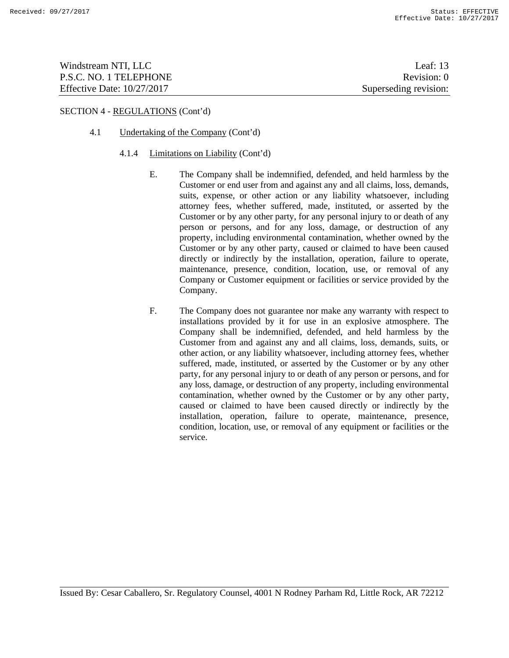| Windstream NTI, LLC          | Leaf: $13$            |
|------------------------------|-----------------------|
| P.S.C. NO. 1 TELEPHONE       | Revision: 0           |
| Effective Date: $10/27/2017$ | Superseding revision: |

### 4.1 Undertaking of the Company (Cont'd)

#### 4.1.4 Limitations on Liability (Cont'd)

- E. The Company shall be indemnified, defended, and held harmless by the Customer or end user from and against any and all claims, loss, demands, suits, expense, or other action or any liability whatsoever, including attorney fees, whether suffered, made, instituted, or asserted by the Customer or by any other party, for any personal injury to or death of any person or persons, and for any loss, damage, or destruction of any property, including environmental contamination, whether owned by the Customer or by any other party, caused or claimed to have been caused directly or indirectly by the installation, operation, failure to operate, maintenance, presence, condition, location, use, or removal of any Company or Customer equipment or facilities or service provided by the Company.
- F. The Company does not guarantee nor make any warranty with respect to installations provided by it for use in an explosive atmosphere. The Company shall be indemnified, defended, and held harmless by the Customer from and against any and all claims, loss, demands, suits, or other action, or any liability whatsoever, including attorney fees, whether suffered, made, instituted, or asserted by the Customer or by any other party, for any personal injury to or death of any person or persons, and for any loss, damage, or destruction of any property, including environmental contamination, whether owned by the Customer or by any other party, caused or claimed to have been caused directly or indirectly by the installation, operation, failure to operate, maintenance, presence, condition, location, use, or removal of any equipment or facilities or the service.

Issued By: Cesar Caballero, Sr. Regulatory Counsel, 4001 N Rodney Parham Rd, Little Rock, AR 72212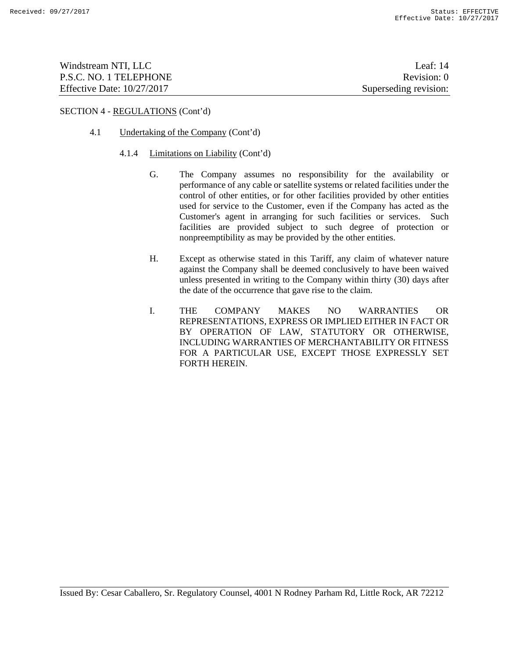| Windstream NTI, LLC          | Leaf: $14$            |
|------------------------------|-----------------------|
| P.S.C. NO. 1 TELEPHONE       | Revision: 0           |
| Effective Date: $10/27/2017$ | Superseding revision: |

# 4.1 Undertaking of the Company (Cont'd)

#### 4.1.4 Limitations on Liability (Cont'd)

- G. The Company assumes no responsibility for the availability or performance of any cable or satellite systems or related facilities under the control of other entities, or for other facilities provided by other entities used for service to the Customer, even if the Company has acted as the Customer's agent in arranging for such facilities or services. Such facilities are provided subject to such degree of protection or nonpreemptibility as may be provided by the other entities.
- H. Except as otherwise stated in this Tariff, any claim of whatever nature against the Company shall be deemed conclusively to have been waived unless presented in writing to the Company within thirty (30) days after the date of the occurrence that gave rise to the claim.
- I. THE COMPANY MAKES NO WARRANTIES OR REPRESENTATIONS, EXPRESS OR IMPLIED EITHER IN FACT OR BY OPERATION OF LAW, STATUTORY OR OTHERWISE, INCLUDING WARRANTIES OF MERCHANTABILITY OR FITNESS FOR A PARTICULAR USE, EXCEPT THOSE EXPRESSLY SET FORTH HEREIN.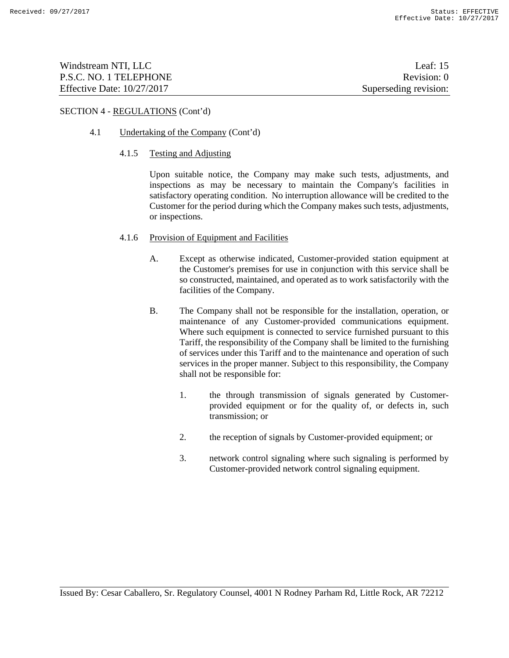| Windstream NTI, LLC          | Leaf: $15$            |
|------------------------------|-----------------------|
| P.S.C. NO. 1 TELEPHONE       | Revision: 0           |
| Effective Date: $10/27/2017$ | Superseding revision: |

# 4.1 Undertaking of the Company (Cont'd)

#### 4.1.5 Testing and Adjusting

Upon suitable notice, the Company may make such tests, adjustments, and inspections as may be necessary to maintain the Company's facilities in satisfactory operating condition. No interruption allowance will be credited to the Customer for the period during which the Company makes such tests, adjustments, or inspections.

# 4.1.6 Provision of Equipment and Facilities

- A. Except as otherwise indicated, Customer-provided station equipment at the Customer's premises for use in conjunction with this service shall be so constructed, maintained, and operated as to work satisfactorily with the facilities of the Company.
- B. The Company shall not be responsible for the installation, operation, or maintenance of any Customer-provided communications equipment. Where such equipment is connected to service furnished pursuant to this Tariff, the responsibility of the Company shall be limited to the furnishing of services under this Tariff and to the maintenance and operation of such services in the proper manner. Subject to this responsibility, the Company shall not be responsible for:
	- 1. the through transmission of signals generated by Customerprovided equipment or for the quality of, or defects in, such transmission; or
	- 2. the reception of signals by Customer-provided equipment; or
	- 3. network control signaling where such signaling is performed by Customer-provided network control signaling equipment.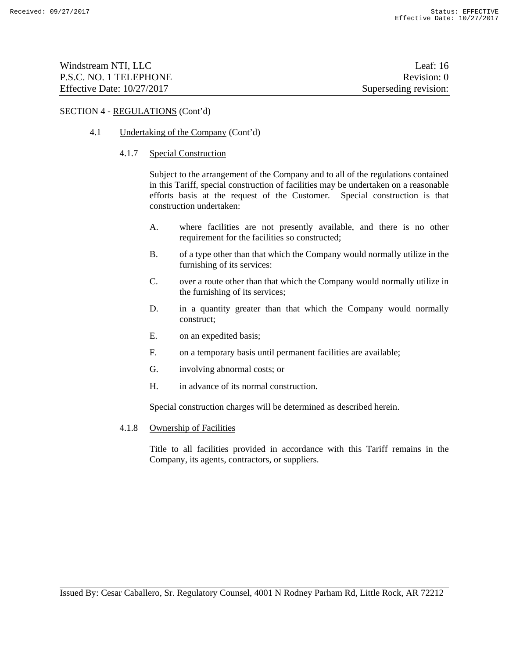| Windstream NTI, LLC          | Leaf: $16$            |
|------------------------------|-----------------------|
| P.S.C. NO. 1 TELEPHONE       | Revision: 0           |
| Effective Date: $10/27/2017$ | Superseding revision: |

# 4.1 Undertaking of the Company (Cont'd)

#### 4.1.7 Special Construction

Subject to the arrangement of the Company and to all of the regulations contained in this Tariff, special construction of facilities may be undertaken on a reasonable efforts basis at the request of the Customer. Special construction is that construction undertaken:

- A. where facilities are not presently available, and there is no other requirement for the facilities so constructed;
- B. of a type other than that which the Company would normally utilize in the furnishing of its services:
- C. over a route other than that which the Company would normally utilize in the furnishing of its services;
- D. in a quantity greater than that which the Company would normally construct;
- E. on an expedited basis;
- F. on a temporary basis until permanent facilities are available;
- G. involving abnormal costs; or
- H. in advance of its normal construction.

Special construction charges will be determined as described herein.

4.1.8 Ownership of Facilities

Title to all facilities provided in accordance with this Tariff remains in the Company, its agents, contractors, or suppliers.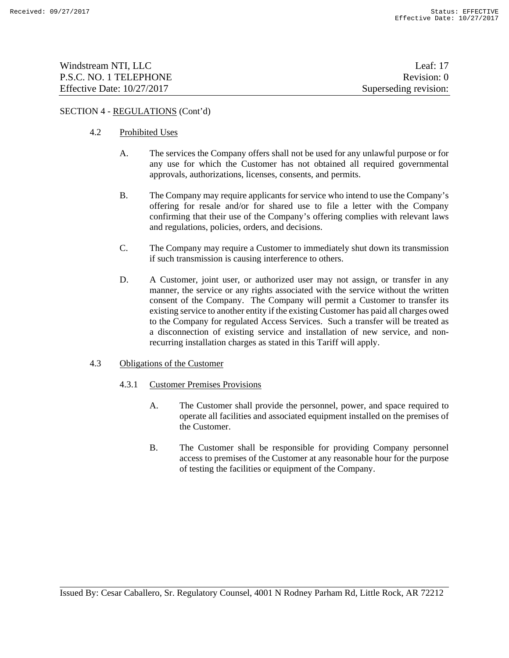| Windstream NTI, LLC          | Leaf: $17$            |
|------------------------------|-----------------------|
| P.S.C. NO. 1 TELEPHONE       | Revision: 0           |
| Effective Date: $10/27/2017$ | Superseding revision: |

### 4.2 Prohibited Uses

- A. The services the Company offers shall not be used for any unlawful purpose or for any use for which the Customer has not obtained all required governmental approvals, authorizations, licenses, consents, and permits.
- B. The Company may require applicants for service who intend to use the Company's offering for resale and/or for shared use to file a letter with the Company confirming that their use of the Company's offering complies with relevant laws and regulations, policies, orders, and decisions.
- C. The Company may require a Customer to immediately shut down its transmission if such transmission is causing interference to others.
- D. A Customer, joint user, or authorized user may not assign, or transfer in any manner, the service or any rights associated with the service without the written consent of the Company. The Company will permit a Customer to transfer its existing service to another entity if the existing Customer has paid all charges owed to the Company for regulated Access Services. Such a transfer will be treated as a disconnection of existing service and installation of new service, and nonrecurring installation charges as stated in this Tariff will apply.

### 4.3 Obligations of the Customer

- 4.3.1 Customer Premises Provisions
	- A. The Customer shall provide the personnel, power, and space required to operate all facilities and associated equipment installed on the premises of the Customer.
	- B. The Customer shall be responsible for providing Company personnel access to premises of the Customer at any reasonable hour for the purpose of testing the facilities or equipment of the Company.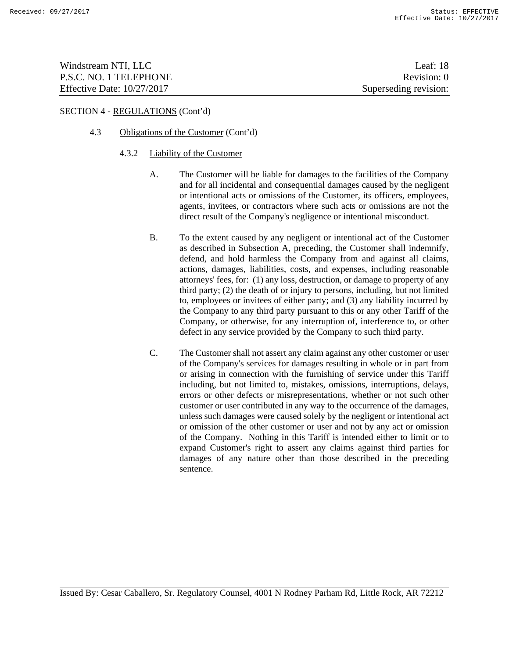| Windstream NTI, LLC          | Leaf: 18              |
|------------------------------|-----------------------|
| P.S.C. NO. 1 TELEPHONE       | Revision: 0           |
| Effective Date: $10/27/2017$ | Superseding revision: |

# 4.3 Obligations of the Customer (Cont'd)

### 4.3.2 Liability of the Customer

- A. The Customer will be liable for damages to the facilities of the Company and for all incidental and consequential damages caused by the negligent or intentional acts or omissions of the Customer, its officers, employees, agents, invitees, or contractors where such acts or omissions are not the direct result of the Company's negligence or intentional misconduct.
- B. To the extent caused by any negligent or intentional act of the Customer as described in Subsection A, preceding, the Customer shall indemnify, defend, and hold harmless the Company from and against all claims, actions, damages, liabilities, costs, and expenses, including reasonable attorneys' fees, for: (1) any loss, destruction, or damage to property of any third party; (2) the death of or injury to persons, including, but not limited to, employees or invitees of either party; and (3) any liability incurred by the Company to any third party pursuant to this or any other Tariff of the Company, or otherwise, for any interruption of, interference to, or other defect in any service provided by the Company to such third party.
- C. The Customer shall not assert any claim against any other customer or user of the Company's services for damages resulting in whole or in part from or arising in connection with the furnishing of service under this Tariff including, but not limited to, mistakes, omissions, interruptions, delays, errors or other defects or misrepresentations, whether or not such other customer or user contributed in any way to the occurrence of the damages, unless such damages were caused solely by the negligent or intentional act or omission of the other customer or user and not by any act or omission of the Company. Nothing in this Tariff is intended either to limit or to expand Customer's right to assert any claims against third parties for damages of any nature other than those described in the preceding sentence.

Issued By: Cesar Caballero, Sr. Regulatory Counsel, 4001 N Rodney Parham Rd, Little Rock, AR 72212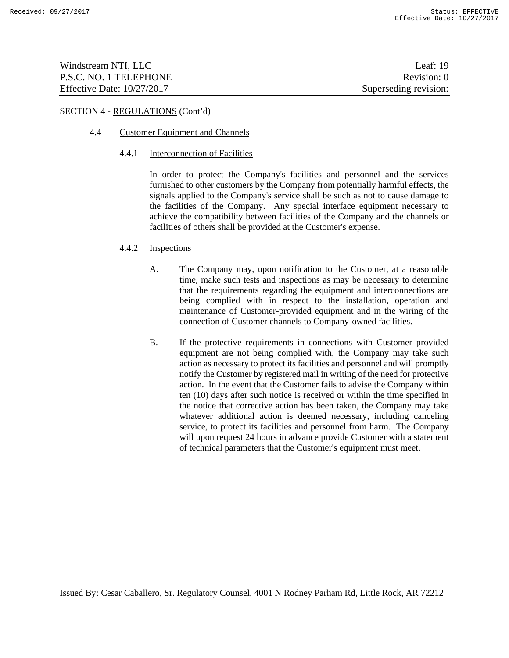| Windstream NTI, LLC          | Leaf: $19$            |
|------------------------------|-----------------------|
| P.S.C. NO. 1 TELEPHONE       | Revision: 0           |
| Effective Date: $10/27/2017$ | Superseding revision: |

### 4.4 Customer Equipment and Channels

#### 4.4.1 Interconnection of Facilities

In order to protect the Company's facilities and personnel and the services furnished to other customers by the Company from potentially harmful effects, the signals applied to the Company's service shall be such as not to cause damage to the facilities of the Company. Any special interface equipment necessary to achieve the compatibility between facilities of the Company and the channels or facilities of others shall be provided at the Customer's expense.

### 4.4.2 Inspections

- A. The Company may, upon notification to the Customer, at a reasonable time, make such tests and inspections as may be necessary to determine that the requirements regarding the equipment and interconnections are being complied with in respect to the installation, operation and maintenance of Customer-provided equipment and in the wiring of the connection of Customer channels to Company-owned facilities.
- B. If the protective requirements in connections with Customer provided equipment are not being complied with, the Company may take such action as necessary to protect its facilities and personnel and will promptly notify the Customer by registered mail in writing of the need for protective action. In the event that the Customer fails to advise the Company within ten (10) days after such notice is received or within the time specified in the notice that corrective action has been taken, the Company may take whatever additional action is deemed necessary, including canceling service, to protect its facilities and personnel from harm. The Company will upon request 24 hours in advance provide Customer with a statement of technical parameters that the Customer's equipment must meet.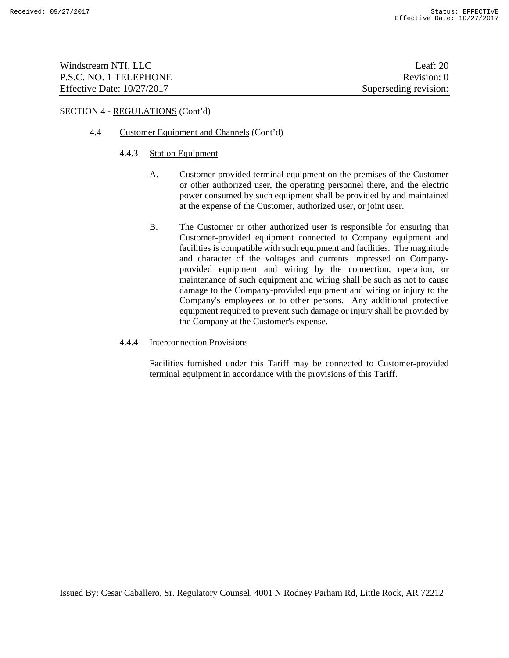| Windstream NTI, LLC          | Leaf: $20$            |
|------------------------------|-----------------------|
| P.S.C. NO. 1 TELEPHONE       | Revision: 0           |
| Effective Date: $10/27/2017$ | Superseding revision: |

# 4.4 Customer Equipment and Channels (Cont'd)

### 4.4.3 Station Equipment

- A. Customer-provided terminal equipment on the premises of the Customer or other authorized user, the operating personnel there, and the electric power consumed by such equipment shall be provided by and maintained at the expense of the Customer, authorized user, or joint user.
- B. The Customer or other authorized user is responsible for ensuring that Customer-provided equipment connected to Company equipment and facilities is compatible with such equipment and facilities. The magnitude and character of the voltages and currents impressed on Companyprovided equipment and wiring by the connection, operation, or maintenance of such equipment and wiring shall be such as not to cause damage to the Company-provided equipment and wiring or injury to the Company's employees or to other persons. Any additional protective equipment required to prevent such damage or injury shall be provided by the Company at the Customer's expense.

### 4.4.4 Interconnection Provisions

Facilities furnished under this Tariff may be connected to Customer-provided terminal equipment in accordance with the provisions of this Tariff.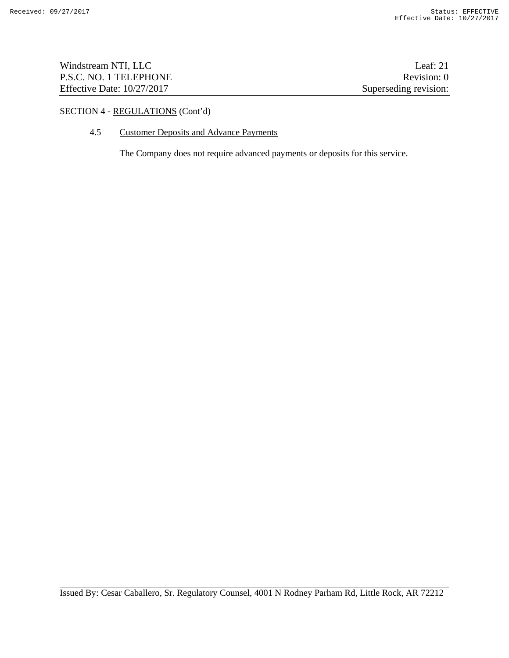| Windstream NTI, LLC          | Leaf: $21$            |
|------------------------------|-----------------------|
| P.S.C. NO. 1 TELEPHONE       | Revision: 0           |
| Effective Date: $10/27/2017$ | Superseding revision: |

# 4.5 Customer Deposits and Advance Payments

The Company does not require advanced payments or deposits for this service.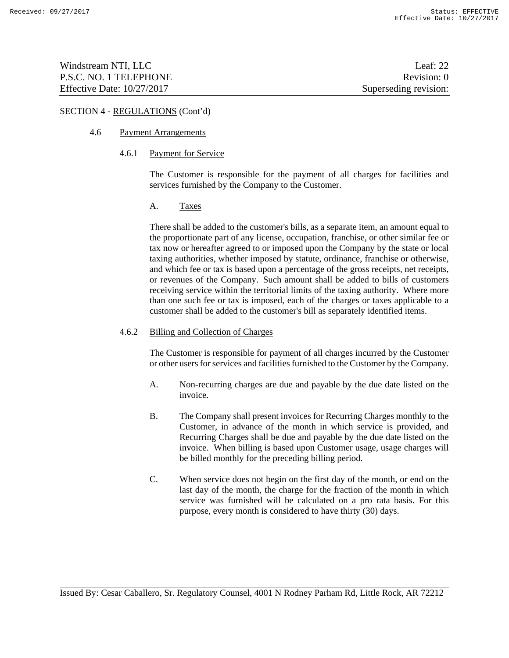| Windstream NTI, LLC          | Leaf: $22$            |
|------------------------------|-----------------------|
| P.S.C. NO. 1 TELEPHONE       | Revision: 0           |
| Effective Date: $10/27/2017$ | Superseding revision: |

# 4.6 Payment Arrangements

#### 4.6.1 Payment for Service

The Customer is responsible for the payment of all charges for facilities and services furnished by the Company to the Customer.

### A. Taxes

There shall be added to the customer's bills, as a separate item, an amount equal to the proportionate part of any license, occupation, franchise, or other similar fee or tax now or hereafter agreed to or imposed upon the Company by the state or local taxing authorities, whether imposed by statute, ordinance, franchise or otherwise, and which fee or tax is based upon a percentage of the gross receipts, net receipts, or revenues of the Company. Such amount shall be added to bills of customers receiving service within the territorial limits of the taxing authority. Where more than one such fee or tax is imposed, each of the charges or taxes applicable to a customer shall be added to the customer's bill as separately identified items.

#### 4.6.2 Billing and Collection of Charges

The Customer is responsible for payment of all charges incurred by the Customer or other users for services and facilities furnished to the Customer by the Company.

- A. Non-recurring charges are due and payable by the due date listed on the invoice.
- B. The Company shall present invoices for Recurring Charges monthly to the Customer, in advance of the month in which service is provided, and Recurring Charges shall be due and payable by the due date listed on the invoice. When billing is based upon Customer usage, usage charges will be billed monthly for the preceding billing period.
- C. When service does not begin on the first day of the month, or end on the last day of the month, the charge for the fraction of the month in which service was furnished will be calculated on a pro rata basis. For this purpose, every month is considered to have thirty (30) days.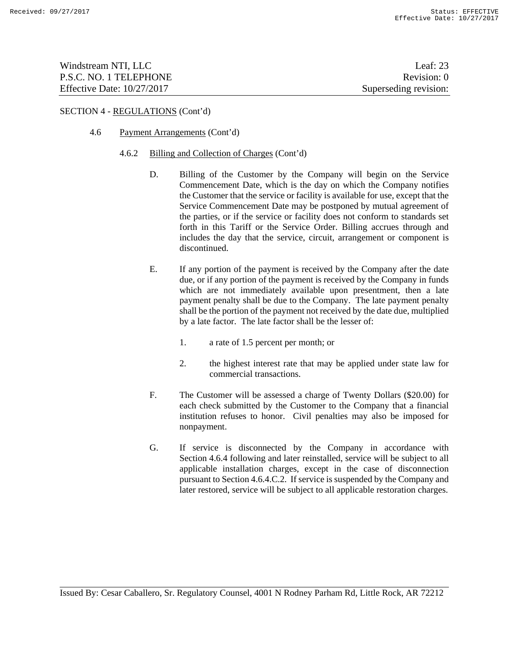| Windstream NTI, LLC          | Leaf: $23$            |
|------------------------------|-----------------------|
| P.S.C. NO. 1 TELEPHONE       | Revision: 0           |
| Effective Date: $10/27/2017$ | Superseding revision: |

### 4.6 Payment Arrangements (Cont'd)

### 4.6.2 Billing and Collection of Charges (Cont'd)

- D. Billing of the Customer by the Company will begin on the Service Commencement Date, which is the day on which the Company notifies the Customer that the service or facility is available for use, except that the Service Commencement Date may be postponed by mutual agreement of the parties, or if the service or facility does not conform to standards set forth in this Tariff or the Service Order. Billing accrues through and includes the day that the service, circuit, arrangement or component is discontinued.
- E. If any portion of the payment is received by the Company after the date due, or if any portion of the payment is received by the Company in funds which are not immediately available upon presentment, then a late payment penalty shall be due to the Company. The late payment penalty shall be the portion of the payment not received by the date due, multiplied by a late factor. The late factor shall be the lesser of:
	- 1. a rate of 1.5 percent per month; or
	- 2. the highest interest rate that may be applied under state law for commercial transactions.
- F. The Customer will be assessed a charge of Twenty Dollars (\$20.00) for each check submitted by the Customer to the Company that a financial institution refuses to honor. Civil penalties may also be imposed for nonpayment.
- G. If service is disconnected by the Company in accordance with Section 4.6.4 following and later reinstalled, service will be subject to all applicable installation charges, except in the case of disconnection pursuant to Section 4.6.4.C.2. If service is suspended by the Company and later restored, service will be subject to all applicable restoration charges.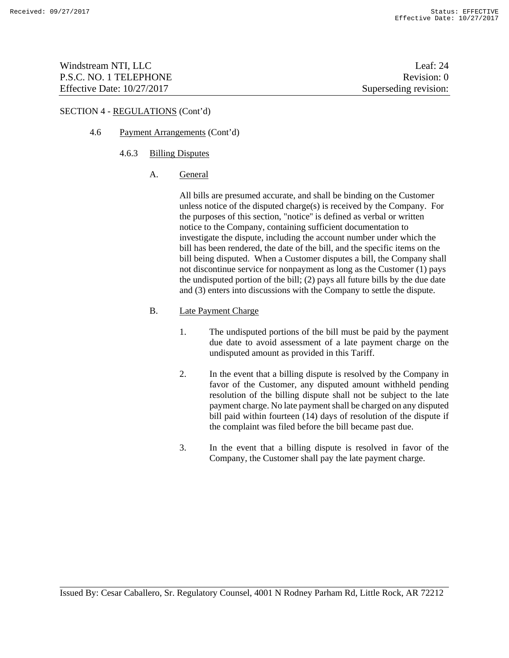| Windstream NTI, LLC               | Leaf: $24$            |
|-----------------------------------|-----------------------|
| P.S.C. NO. 1 TELEPHONE            | Revision: 0           |
| <b>Effective Date: 10/27/2017</b> | Superseding revision: |

# 4.6 Payment Arrangements (Cont'd)

### 4.6.3 Billing Disputes

A. General

All bills are presumed accurate, and shall be binding on the Customer unless notice of the disputed charge(s) is received by the Company. For the purposes of this section, "notice'' is defined as verbal or written notice to the Company, containing sufficient documentation to investigate the dispute, including the account number under which the bill has been rendered, the date of the bill, and the specific items on the bill being disputed. When a Customer disputes a bill, the Company shall not discontinue service for nonpayment as long as the Customer (1) pays the undisputed portion of the bill; (2) pays all future bills by the due date and (3) enters into discussions with the Company to settle the dispute.

# B. Late Payment Charge

- 1. The undisputed portions of the bill must be paid by the payment due date to avoid assessment of a late payment charge on the undisputed amount as provided in this Tariff.
- 2. In the event that a billing dispute is resolved by the Company in favor of the Customer, any disputed amount withheld pending resolution of the billing dispute shall not be subject to the late payment charge. No late payment shall be charged on any disputed bill paid within fourteen (14) days of resolution of the dispute if the complaint was filed before the bill became past due.
- 3. In the event that a billing dispute is resolved in favor of the Company, the Customer shall pay the late payment charge.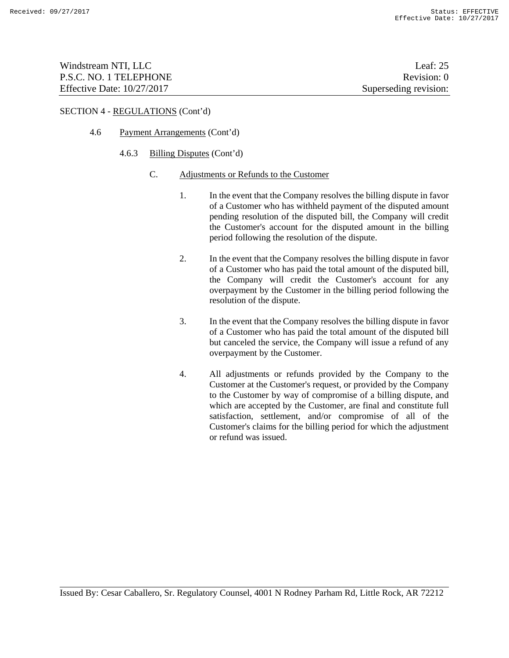| Windstream NTI, LLC          | Leaf: $25$            |
|------------------------------|-----------------------|
| P.S.C. NO. 1 TELEPHONE       | Revision: 0           |
| Effective Date: $10/27/2017$ | Superseding revision: |

- 4.6 Payment Arrangements (Cont'd)
	- 4.6.3 Billing Disputes (Cont'd)
		- C. Adjustments or Refunds to the Customer
			- 1. In the event that the Company resolves the billing dispute in favor of a Customer who has withheld payment of the disputed amount pending resolution of the disputed bill, the Company will credit the Customer's account for the disputed amount in the billing period following the resolution of the dispute.
			- 2. In the event that the Company resolves the billing dispute in favor of a Customer who has paid the total amount of the disputed bill, the Company will credit the Customer's account for any overpayment by the Customer in the billing period following the resolution of the dispute.
			- 3. In the event that the Company resolves the billing dispute in favor of a Customer who has paid the total amount of the disputed bill but canceled the service, the Company will issue a refund of any overpayment by the Customer.
			- 4. All adjustments or refunds provided by the Company to the Customer at the Customer's request, or provided by the Company to the Customer by way of compromise of a billing dispute, and which are accepted by the Customer, are final and constitute full satisfaction, settlement, and/or compromise of all of the Customer's claims for the billing period for which the adjustment or refund was issued.

Issued By: Cesar Caballero, Sr. Regulatory Counsel, 4001 N Rodney Parham Rd, Little Rock, AR 72212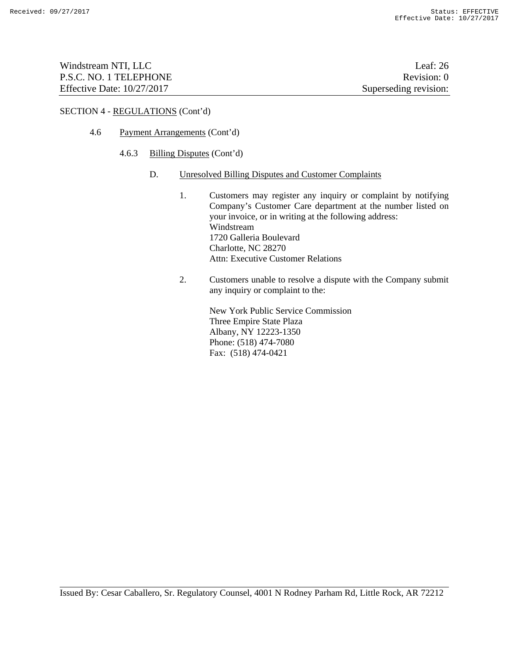| Windstream NTI, LLC          | Leaf: $26$            |
|------------------------------|-----------------------|
| P.S.C. NO. 1 TELEPHONE       | Revision: 0           |
| Effective Date: $10/27/2017$ | Superseding revision: |

- 4.6 Payment Arrangements (Cont'd)
	- 4.6.3 Billing Disputes (Cont'd)
		- D. Unresolved Billing Disputes and Customer Complaints
			- 1. Customers may register any inquiry or complaint by notifying Company's Customer Care department at the number listed on your invoice, or in writing at the following address: Windstream 1720 Galleria Boulevard Charlotte, NC 28270 Attn: Executive Customer Relations
			- 2. Customers unable to resolve a dispute with the Company submit any inquiry or complaint to the:

 New York Public Service Commission Three Empire State Plaza Albany, NY 12223-1350 Phone: (518) 474-7080 Fax: (518) 474-0421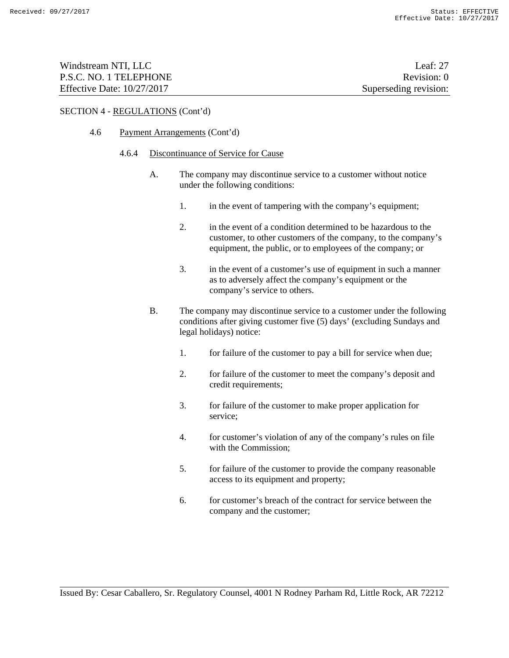| Windstream NTI, LLC          | Leaf: $27$            |
|------------------------------|-----------------------|
| P.S.C. NO. 1 TELEPHONE       | Revision: 0           |
| Effective Date: $10/27/2017$ | Superseding revision: |

### 4.6 Payment Arrangements (Cont'd)

#### 4.6.4 Discontinuance of Service for Cause

- A. The company may discontinue service to a customer without notice under the following conditions:
	- 1. in the event of tampering with the company's equipment;
	- 2. in the event of a condition determined to be hazardous to the customer, to other customers of the company, to the company's equipment, the public, or to employees of the company; or
	- 3. in the event of a customer's use of equipment in such a manner as to adversely affect the company's equipment or the company's service to others.
- B. The company may discontinue service to a customer under the following conditions after giving customer five (5) days' (excluding Sundays and legal holidays) notice:
	- 1. for failure of the customer to pay a bill for service when due;
	- 2. for failure of the customer to meet the company's deposit and credit requirements;
	- 3. for failure of the customer to make proper application for service;
	- 4. for customer's violation of any of the company's rules on file with the Commission;
	- 5. for failure of the customer to provide the company reasonable access to its equipment and property;
	- 6. for customer's breach of the contract for service between the company and the customer;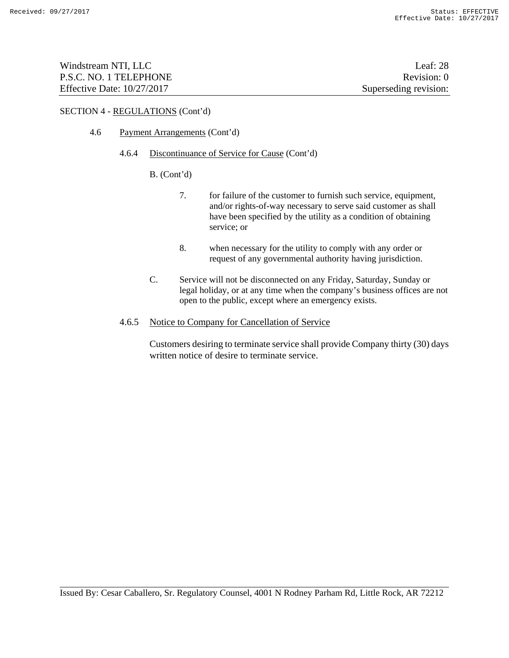| Windstream NTI, LLC          | Leaf: $28$            |
|------------------------------|-----------------------|
| P.S.C. NO. 1 TELEPHONE       | Revision: 0           |
| Effective Date: $10/27/2017$ | Superseding revision: |

### 4.6 Payment Arrangements (Cont'd)

#### 4.6.4 Discontinuance of Service for Cause (Cont'd)

### B. (Cont'd)

- 7. for failure of the customer to furnish such service, equipment, and/or rights-of-way necessary to serve said customer as shall have been specified by the utility as a condition of obtaining service; or
- 8. when necessary for the utility to comply with any order or request of any governmental authority having jurisdiction.
- C. Service will not be disconnected on any Friday, Saturday, Sunday or legal holiday, or at any time when the company's business offices are not open to the public, except where an emergency exists.

### 4.6.5 Notice to Company for Cancellation of Service

Customers desiring to terminate service shall provide Company thirty (30) days written notice of desire to terminate service.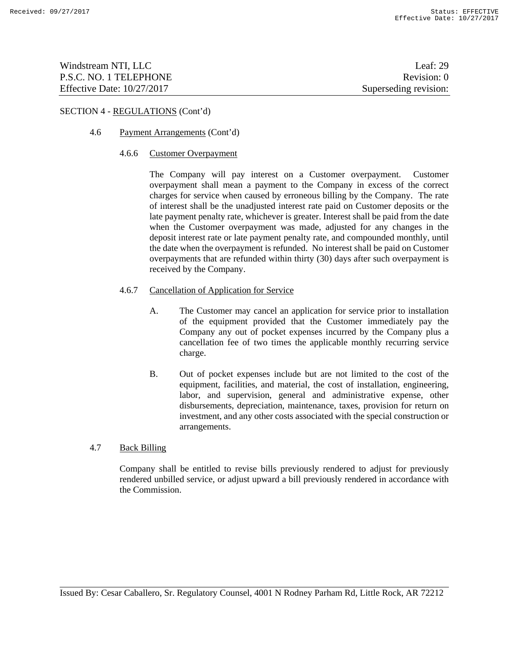| Windstream NTI, LLC          | Leaf: $29$            |
|------------------------------|-----------------------|
| P.S.C. NO. 1 TELEPHONE       | Revision: 0           |
| Effective Date: $10/27/2017$ | Superseding revision: |

### 4.6 Payment Arrangements (Cont'd)

#### 4.6.6 Customer Overpayment

The Company will pay interest on a Customer overpayment. Customer overpayment shall mean a payment to the Company in excess of the correct charges for service when caused by erroneous billing by the Company. The rate of interest shall be the unadjusted interest rate paid on Customer deposits or the late payment penalty rate, whichever is greater. Interest shall be paid from the date when the Customer overpayment was made, adjusted for any changes in the deposit interest rate or late payment penalty rate, and compounded monthly, until the date when the overpayment is refunded. No interest shall be paid on Customer overpayments that are refunded within thirty (30) days after such overpayment is received by the Company.

### 4.6.7 Cancellation of Application for Service

- A. The Customer may cancel an application for service prior to installation of the equipment provided that the Customer immediately pay the Company any out of pocket expenses incurred by the Company plus a cancellation fee of two times the applicable monthly recurring service charge.
- B. Out of pocket expenses include but are not limited to the cost of the equipment, facilities, and material, the cost of installation, engineering, labor, and supervision, general and administrative expense, other disbursements, depreciation, maintenance, taxes, provision for return on investment, and any other costs associated with the special construction or arrangements.

# 4.7 Back Billing

Company shall be entitled to revise bills previously rendered to adjust for previously rendered unbilled service, or adjust upward a bill previously rendered in accordance with the Commission.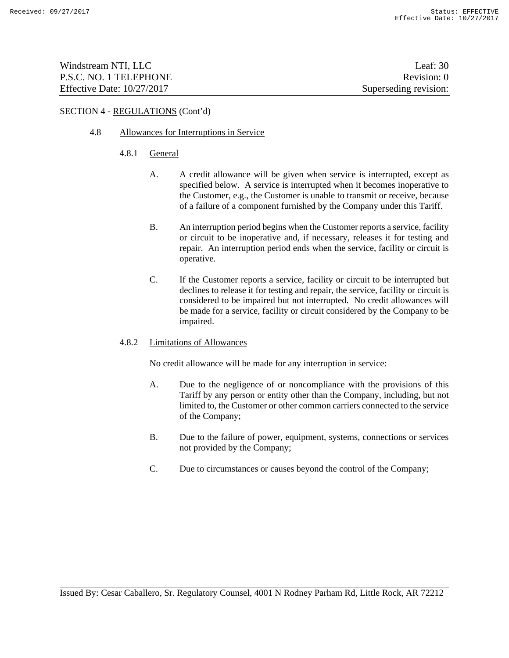| Windstream NTI, LLC          | Leaf: $302$           |
|------------------------------|-----------------------|
| P.S.C. NO. 1 TELEPHONE       | Revision: 0           |
| Effective Date: $10/27/2017$ | Superseding revision: |

# 4.8 Allowances for Interruptions in Service

- 4.8.1 General
	- A. A credit allowance will be given when service is interrupted, except as specified below. A service is interrupted when it becomes inoperative to the Customer, e.g., the Customer is unable to transmit or receive, because of a failure of a component furnished by the Company under this Tariff.
	- B. An interruption period begins when the Customer reports a service, facility or circuit to be inoperative and, if necessary, releases it for testing and repair. An interruption period ends when the service, facility or circuit is operative.
	- C. If the Customer reports a service, facility or circuit to be interrupted but declines to release it for testing and repair, the service, facility or circuit is considered to be impaired but not interrupted. No credit allowances will be made for a service, facility or circuit considered by the Company to be impaired.

### 4.8.2 Limitations of Allowances

No credit allowance will be made for any interruption in service:

- A. Due to the negligence of or noncompliance with the provisions of this Tariff by any person or entity other than the Company, including, but not limited to, the Customer or other common carriers connected to the service of the Company;
- B. Due to the failure of power, equipment, systems, connections or services not provided by the Company;
- C. Due to circumstances or causes beyond the control of the Company;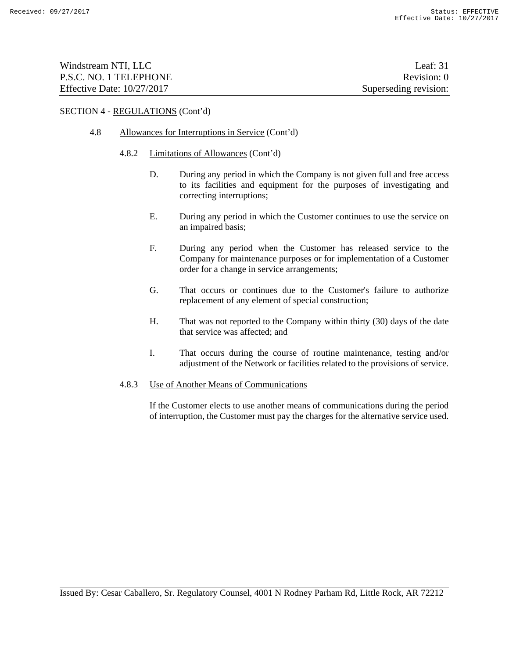| Windstream NTI, LLC          | Leaf: 31              |
|------------------------------|-----------------------|
| P.S.C. NO. 1 TELEPHONE       | Revision: 0           |
| Effective Date: $10/27/2017$ | Superseding revision: |

### 4.8 Allowances for Interruptions in Service (Cont'd)

#### 4.8.2 Limitations of Allowances (Cont'd)

- D. During any period in which the Company is not given full and free access to its facilities and equipment for the purposes of investigating and correcting interruptions;
- E. During any period in which the Customer continues to use the service on an impaired basis;
- F. During any period when the Customer has released service to the Company for maintenance purposes or for implementation of a Customer order for a change in service arrangements;
- G. That occurs or continues due to the Customer's failure to authorize replacement of any element of special construction;
- H. That was not reported to the Company within thirty (30) days of the date that service was affected; and
- I. That occurs during the course of routine maintenance, testing and/or adjustment of the Network or facilities related to the provisions of service.

### 4.8.3 Use of Another Means of Communications

If the Customer elects to use another means of communications during the period of interruption, the Customer must pay the charges for the alternative service used.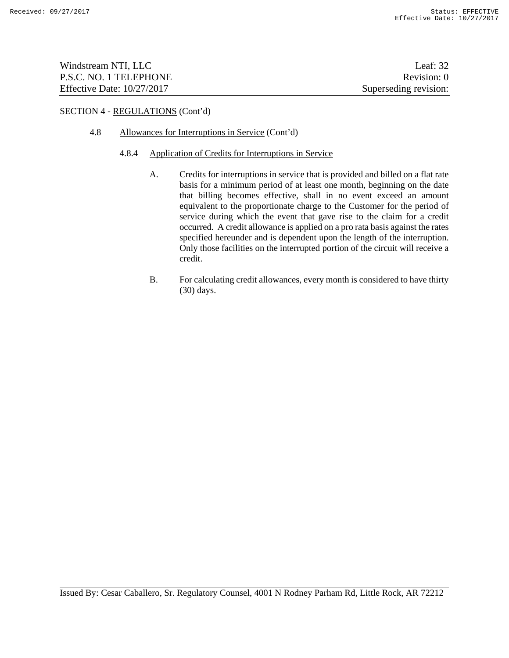| Windstream NTI, LLC          | Leaf: $32$            |
|------------------------------|-----------------------|
| P.S.C. NO. 1 TELEPHONE       | Revision: 0           |
| Effective Date: $10/27/2017$ | Superseding revision: |

### 4.8 Allowances for Interruptions in Service (Cont'd)

#### 4.8.4 Application of Credits for Interruptions in Service

- A. Credits for interruptions in service that is provided and billed on a flat rate basis for a minimum period of at least one month, beginning on the date that billing becomes effective, shall in no event exceed an amount equivalent to the proportionate charge to the Customer for the period of service during which the event that gave rise to the claim for a credit occurred. A credit allowance is applied on a pro rata basis against the rates specified hereunder and is dependent upon the length of the interruption. Only those facilities on the interrupted portion of the circuit will receive a credit.
- B. For calculating credit allowances, every month is considered to have thirty (30) days.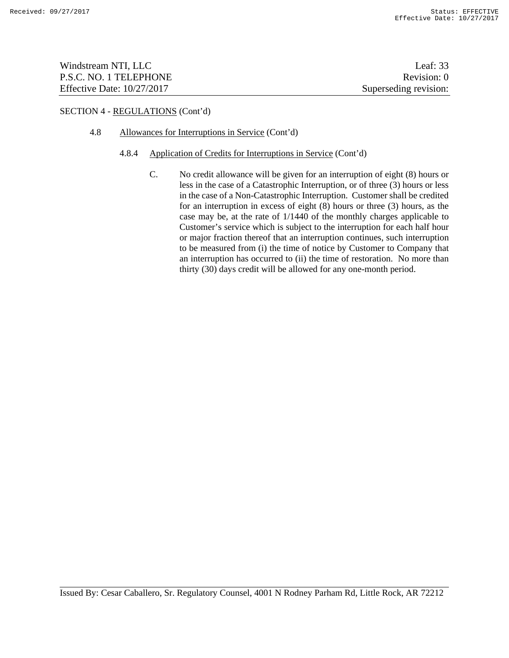| Windstream NTI, LLC          | Leaf: $33$            |
|------------------------------|-----------------------|
| P.S.C. NO. 1 TELEPHONE       | Revision: 0           |
| Effective Date: $10/27/2017$ | Superseding revision: |

### 4.8 Allowances for Interruptions in Service (Cont'd)

#### 4.8.4 Application of Credits for Interruptions in Service (Cont'd)

C. No credit allowance will be given for an interruption of eight (8) hours or less in the case of a Catastrophic Interruption, or of three (3) hours or less in the case of a Non-Catastrophic Interruption. Customer shall be credited for an interruption in excess of eight  $(8)$  hours or three  $(3)$  hours, as the case may be, at the rate of 1/1440 of the monthly charges applicable to Customer's service which is subject to the interruption for each half hour or major fraction thereof that an interruption continues, such interruption to be measured from (i) the time of notice by Customer to Company that an interruption has occurred to (ii) the time of restoration. No more than thirty (30) days credit will be allowed for any one-month period.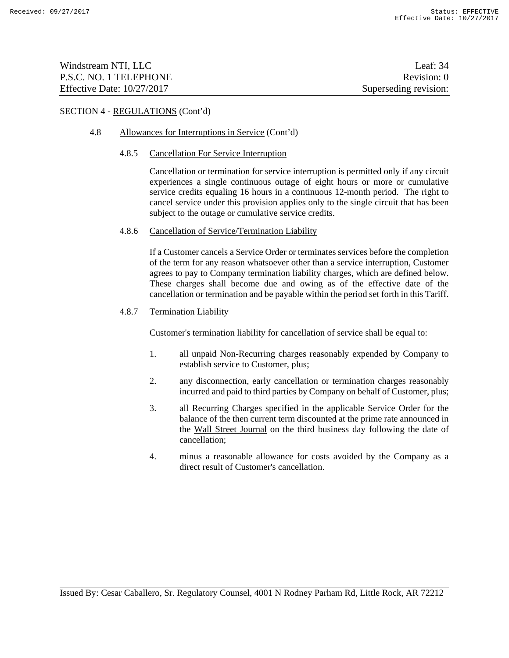| Windstream NTI, LLC          | Leaf: 34              |
|------------------------------|-----------------------|
| P.S.C. NO. 1 TELEPHONE       | Revision: 0           |
| Effective Date: $10/27/2017$ | Superseding revision: |

### 4.8 Allowances for Interruptions in Service (Cont'd)

#### 4.8.5 Cancellation For Service Interruption

Cancellation or termination for service interruption is permitted only if any circuit experiences a single continuous outage of eight hours or more or cumulative service credits equaling 16 hours in a continuous 12-month period. The right to cancel service under this provision applies only to the single circuit that has been subject to the outage or cumulative service credits.

#### 4.8.6 Cancellation of Service/Termination Liability

If a Customer cancels a Service Order or terminates services before the completion of the term for any reason whatsoever other than a service interruption, Customer agrees to pay to Company termination liability charges, which are defined below. These charges shall become due and owing as of the effective date of the cancellation or termination and be payable within the period set forth in this Tariff.

### 4.8.7 Termination Liability

Customer's termination liability for cancellation of service shall be equal to:

- 1. all unpaid Non-Recurring charges reasonably expended by Company to establish service to Customer, plus;
- 2. any disconnection, early cancellation or termination charges reasonably incurred and paid to third parties by Company on behalf of Customer, plus;
- 3. all Recurring Charges specified in the applicable Service Order for the balance of the then current term discounted at the prime rate announced in the Wall Street Journal on the third business day following the date of cancellation;
- 4. minus a reasonable allowance for costs avoided by the Company as a direct result of Customer's cancellation.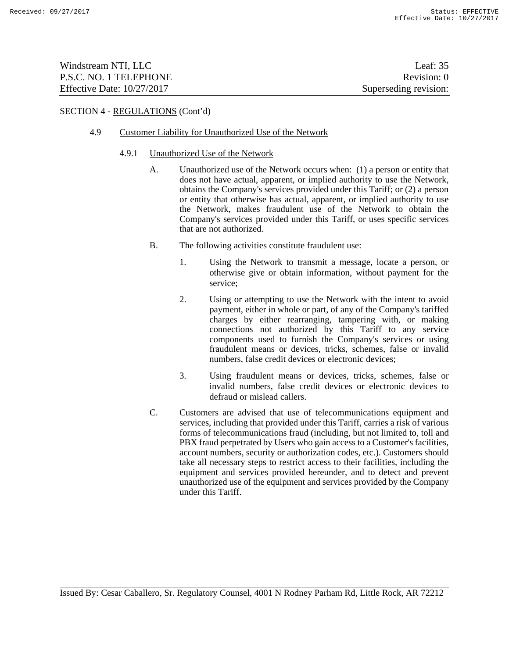| Windstream NTI, LLC          | Leaf: $35$            |
|------------------------------|-----------------------|
| P.S.C. NO. 1 TELEPHONE       | Revision: 0           |
| Effective Date: $10/27/2017$ | Superseding revision: |

### 4.9 Customer Liability for Unauthorized Use of the Network

#### 4.9.1 Unauthorized Use of the Network

- A. Unauthorized use of the Network occurs when: (1) a person or entity that does not have actual, apparent, or implied authority to use the Network, obtains the Company's services provided under this Tariff; or (2) a person or entity that otherwise has actual, apparent, or implied authority to use the Network, makes fraudulent use of the Network to obtain the Company's services provided under this Tariff, or uses specific services that are not authorized.
- B. The following activities constitute fraudulent use:
	- 1. Using the Network to transmit a message, locate a person, or otherwise give or obtain information, without payment for the service;
	- 2. Using or attempting to use the Network with the intent to avoid payment, either in whole or part, of any of the Company's tariffed charges by either rearranging, tampering with, or making connections not authorized by this Tariff to any service components used to furnish the Company's services or using fraudulent means or devices, tricks, schemes, false or invalid numbers, false credit devices or electronic devices;
	- 3. Using fraudulent means or devices, tricks, schemes, false or invalid numbers, false credit devices or electronic devices to defraud or mislead callers.
- C. Customers are advised that use of telecommunications equipment and services, including that provided under this Tariff, carries a risk of various forms of telecommunications fraud (including, but not limited to, toll and PBX fraud perpetrated by Users who gain access to a Customer's facilities, account numbers, security or authorization codes, etc.). Customers should take all necessary steps to restrict access to their facilities, including the equipment and services provided hereunder, and to detect and prevent unauthorized use of the equipment and services provided by the Company under this Tariff.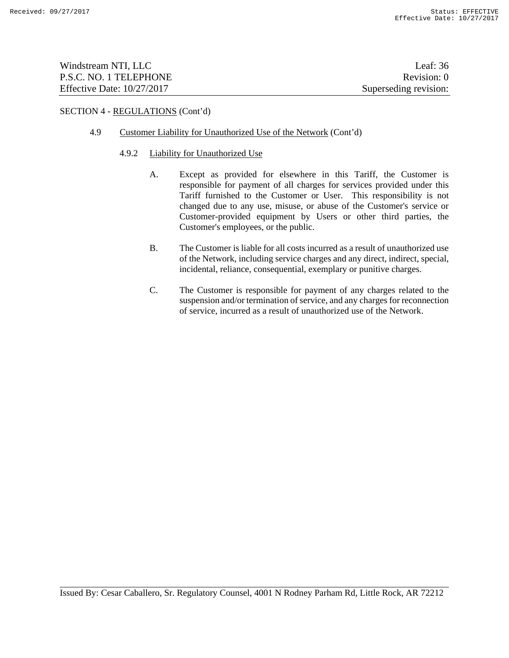| Windstream NTI, LLC          | Leaf: $36$            |
|------------------------------|-----------------------|
| P.S.C. NO. 1 TELEPHONE       | Revision: 0           |
| Effective Date: $10/27/2017$ | Superseding revision: |

### 4.9 Customer Liability for Unauthorized Use of the Network (Cont'd)

#### 4.9.2 Liability for Unauthorized Use

- A. Except as provided for elsewhere in this Tariff, the Customer is responsible for payment of all charges for services provided under this Tariff furnished to the Customer or User. This responsibility is not changed due to any use, misuse, or abuse of the Customer's service or Customer-provided equipment by Users or other third parties, the Customer's employees, or the public.
- B. The Customer is liable for all costs incurred as a result of unauthorized use of the Network, including service charges and any direct, indirect, special, incidental, reliance, consequential, exemplary or punitive charges.
- C. The Customer is responsible for payment of any charges related to the suspension and/or termination of service, and any charges for reconnection of service, incurred as a result of unauthorized use of the Network.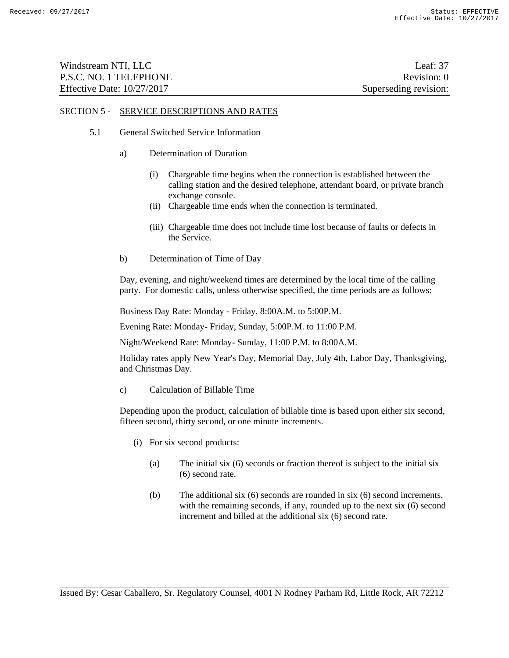| Windstream NTI, LLC          | Leaf: $37$            |
|------------------------------|-----------------------|
| P.S.C. NO. 1 TELEPHONE       | Revision: 0           |
| Effective Date: $10/27/2017$ | Superseding revision: |

### 5.1 General Switched Service Information

- a) Determination of Duration
	- (i) Chargeable time begins when the connection is established between the calling station and the desired telephone, attendant board, or private branch exchange console.
	- (ii) Chargeable time ends when the connection is terminated.
	- (iii) Chargeable time does not include time lost because of faults or defects in the Service.
- b) Determination of Time of Day

Day, evening, and night/weekend times are determined by the local time of the calling party. For domestic calls, unless otherwise specified, the time periods are as follows:

Business Day Rate: Monday - Friday, 8:00A.M. to 5:00P.M.

Evening Rate: Monday- Friday, Sunday, 5:00P.M. to 11:00 P.M.

Night/Weekend Rate: Monday- Sunday, 11:00 P.M. to 8:00A.M.

Holiday rates apply New Year's Day, Memorial Day, July 4th, Labor Day, Thanksgiving, and Christmas Day.

c) Calculation of Billable Time

Depending upon the product, calculation of billable time is based upon either six second, fifteen second, thirty second, or one minute increments.

- (i) For six second products:
	- (a) The initial six (6) seconds or fraction thereof is subject to the initial six (6) second rate.
	- (b) The additional six (6) seconds are rounded in six (6) second increments, with the remaining seconds, if any, rounded up to the next six  $(6)$  second increment and billed at the additional six (6) second rate.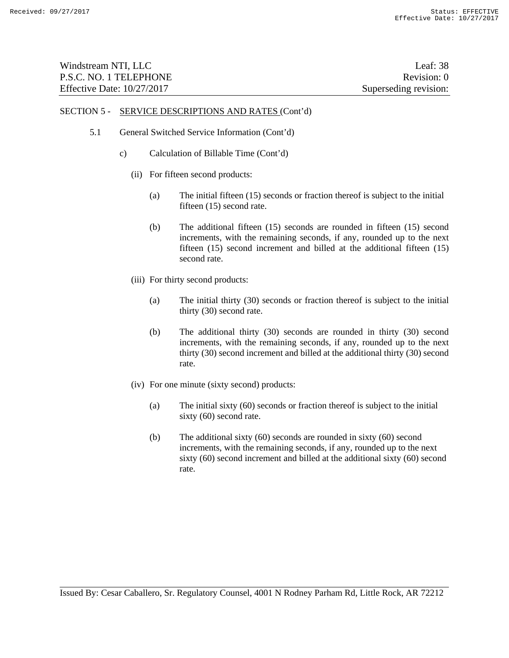| Windstream NTI, LLC          | Leaf: 38              |
|------------------------------|-----------------------|
| P.S.C. NO. 1 TELEPHONE       | Revision: 0           |
| Effective Date: $10/27/2017$ | Superseding revision: |

# 5.1 General Switched Service Information (Cont'd)

- c) Calculation of Billable Time (Cont'd)
	- (ii) For fifteen second products:
		- (a) The initial fifteen (15) seconds or fraction thereof is subject to the initial fifteen (15) second rate.
		- (b) The additional fifteen (15) seconds are rounded in fifteen (15) second increments, with the remaining seconds, if any, rounded up to the next fifteen (15) second increment and billed at the additional fifteen (15) second rate.
	- (iii) For thirty second products:
		- (a) The initial thirty (30) seconds or fraction thereof is subject to the initial thirty (30) second rate.
		- (b) The additional thirty (30) seconds are rounded in thirty (30) second increments, with the remaining seconds, if any, rounded up to the next thirty (30) second increment and billed at the additional thirty (30) second rate.
	- (iv) For one minute (sixty second) products:
		- (a) The initial sixty (60) seconds or fraction thereof is subject to the initial sixty (60) second rate.
		- (b) The additional sixty (60) seconds are rounded in sixty (60) second increments, with the remaining seconds, if any, rounded up to the next sixty (60) second increment and billed at the additional sixty (60) second rate.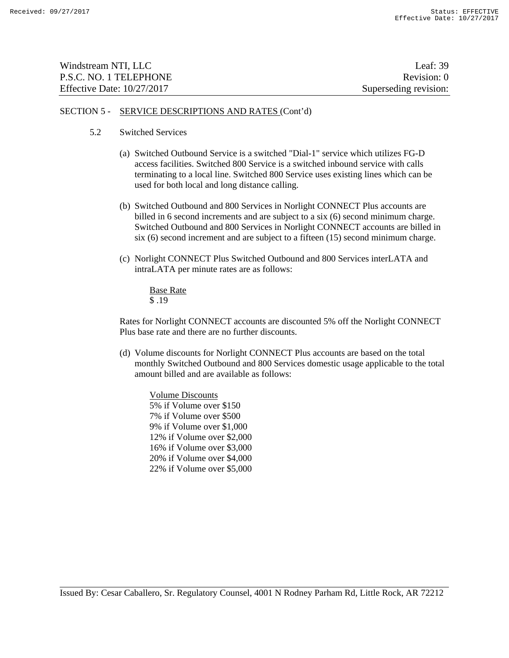| Windstream NTI, LLC          | Leaf: $39$            |
|------------------------------|-----------------------|
| P.S.C. NO. 1 TELEPHONE       | Revision: 0           |
| Effective Date: $10/27/2017$ | Superseding revision: |

- 5.2 Switched Services
	- (a) Switched Outbound Service is a switched "Dial-1" service which utilizes FG-D access facilities. Switched 800 Service is a switched inbound service with calls terminating to a local line. Switched 800 Service uses existing lines which can be used for both local and long distance calling.
	- (b) Switched Outbound and 800 Services in Norlight CONNECT Plus accounts are billed in 6 second increments and are subject to a six (6) second minimum charge. Switched Outbound and 800 Services in Norlight CONNECT accounts are billed in six (6) second increment and are subject to a fifteen (15) second minimum charge.
	- (c) Norlight CONNECT Plus Switched Outbound and 800 Services interLATA and intraLATA per minute rates are as follows:

Base Rate \$ .19

Rates for Norlight CONNECT accounts are discounted 5% off the Norlight CONNECT Plus base rate and there are no further discounts.

(d) Volume discounts for Norlight CONNECT Plus accounts are based on the total monthly Switched Outbound and 800 Services domestic usage applicable to the total amount billed and are available as follows:

Volume Discounts 5% if Volume over \$150 7% if Volume over \$500 9% if Volume over \$1,000 12% if Volume over \$2,000 16% if Volume over \$3,000 20% if Volume over \$4,000 22% if Volume over \$5,000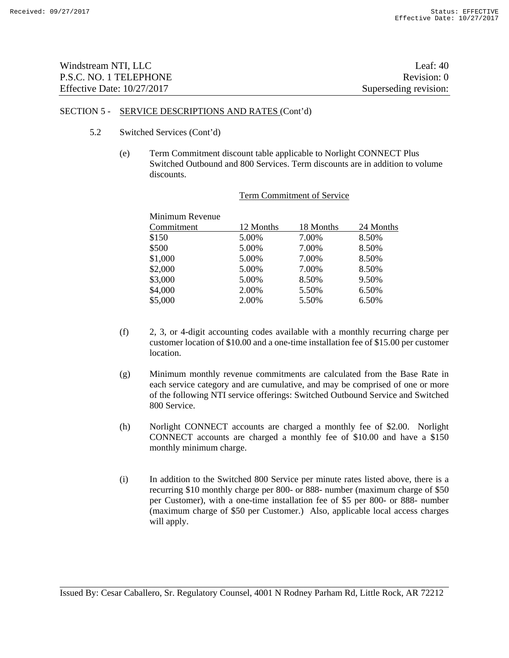| Windstream NTI, LLC          | Leaf: $40$            |
|------------------------------|-----------------------|
| P.S.C. NO. 1 TELEPHONE       | Revision: 0           |
| Effective Date: $10/27/2017$ | Superseding revision: |

- 5.2 Switched Services (Cont'd)
	- (e) Term Commitment discount table applicable to Norlight CONNECT Plus Switched Outbound and 800 Services. Term discounts are in addition to volume discounts.

| Minimum Revenue |           |           |           |
|-----------------|-----------|-----------|-----------|
| Commitment      | 12 Months | 18 Months | 24 Months |
| \$150           | 5.00%     | 7.00%     | 8.50%     |
| \$500           | 5.00%     | 7.00%     | 8.50%     |
| \$1,000         | 5.00%     | 7.00%     | 8.50%     |
| \$2,000         | 5.00%     | 7.00%     | 8.50%     |
| \$3,000         | 5.00%     | 8.50%     | 9.50%     |
| \$4,000         | 2.00%     | 5.50%     | 6.50%     |
| \$5,000         | 2.00%     | 5.50%     | 6.50%     |

#### Term Commitment of Service

- (f) 2, 3, or 4-digit accounting codes available with a monthly recurring charge per customer location of \$10.00 and a one-time installation fee of \$15.00 per customer location.
- (g) Minimum monthly revenue commitments are calculated from the Base Rate in each service category and are cumulative, and may be comprised of one or more of the following NTI service offerings: Switched Outbound Service and Switched 800 Service.
- (h) Norlight CONNECT accounts are charged a monthly fee of \$2.00. Norlight CONNECT accounts are charged a monthly fee of \$10.00 and have a \$150 monthly minimum charge.
- (i) In addition to the Switched 800 Service per minute rates listed above, there is a recurring \$10 monthly charge per 800- or 888- number (maximum charge of \$50 per Customer), with a one-time installation fee of \$5 per 800- or 888- number (maximum charge of \$50 per Customer.) Also, applicable local access charges will apply.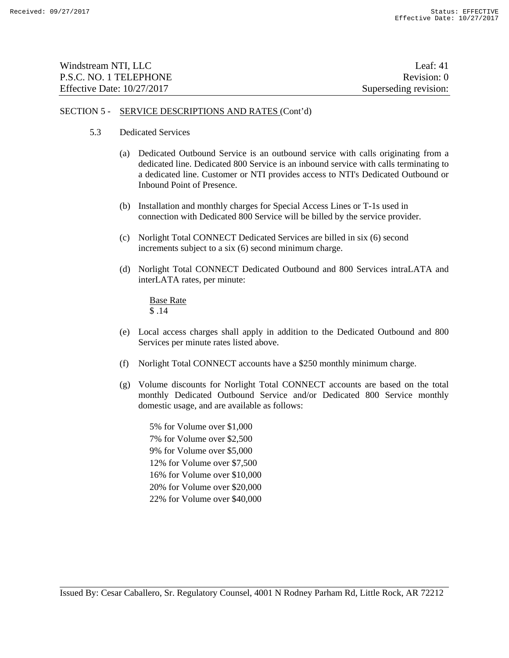| Windstream NTI, LLC          | Leaf: $41$            |
|------------------------------|-----------------------|
| P.S.C. NO. 1 TELEPHONE       | Revision: 0           |
| Effective Date: $10/27/2017$ | Superseding revision: |

- 5.3 Dedicated Services
	- (a) Dedicated Outbound Service is an outbound service with calls originating from a dedicated line. Dedicated 800 Service is an inbound service with calls terminating to a dedicated line. Customer or NTI provides access to NTI's Dedicated Outbound or Inbound Point of Presence.
	- (b) Installation and monthly charges for Special Access Lines or T-1s used in connection with Dedicated 800 Service will be billed by the service provider.
	- (c) Norlight Total CONNECT Dedicated Services are billed in six (6) second increments subject to a six (6) second minimum charge.
	- (d) Norlight Total CONNECT Dedicated Outbound and 800 Services intraLATA and interLATA rates, per minute:

 Base Rate \$ .14

- (e) Local access charges shall apply in addition to the Dedicated Outbound and 800 Services per minute rates listed above.
- (f) Norlight Total CONNECT accounts have a \$250 monthly minimum charge.
- (g) Volume discounts for Norlight Total CONNECT accounts are based on the total monthly Dedicated Outbound Service and/or Dedicated 800 Service monthly domestic usage, and are available as follows:
	- 5% for Volume over \$1,000 7% for Volume over \$2,500 9% for Volume over \$5,000 12% for Volume over \$7,500 16% for Volume over \$10,000 20% for Volume over \$20,000 22% for Volume over \$40,000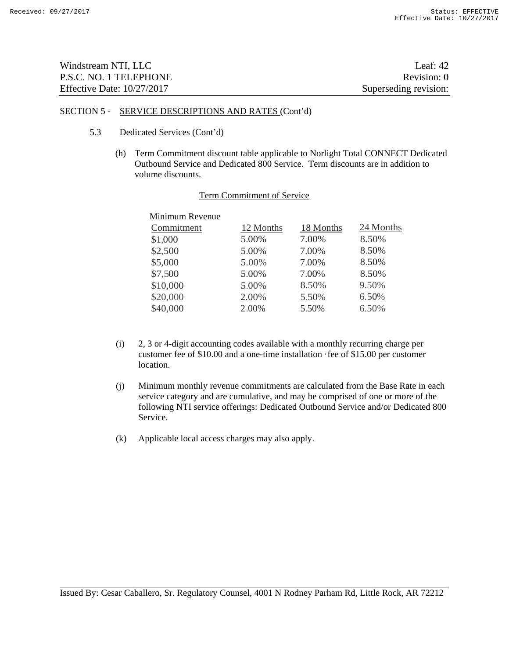| Windstream NTI, LLC          | Leaf: $42$            |
|------------------------------|-----------------------|
| P.S.C. NO. 1 TELEPHONE       | Revision: 0           |
| Effective Date: $10/27/2017$ | Superseding revision: |

- 5.3 Dedicated Services (Cont'd)
	- (h) Term Commitment discount table applicable to Norlight Total CONNECT Dedicated Outbound Service and Dedicated 800 Service. Term discounts are in addition to volume discounts.

| Minimum Revenue |           |           |           |
|-----------------|-----------|-----------|-----------|
| Commitment      | 12 Months | 18 Months | 24 Months |
| \$1,000         | 5.00%     | 7.00%     | 8.50%     |
| \$2,500         | 5.00%     | 7.00%     | 8.50%     |
| \$5,000         | 5.00%     | 7.00%     | 8.50%     |
| \$7,500         | 5.00%     | 7.00%     | 8.50%     |
| \$10,000        | 5.00%     | 8.50%     | 9.50%     |
| \$20,000        | 2.00%     | 5.50%     | 6.50%     |
| \$40,000        | 2.00%     | 5.50%     | 6.50%     |
|                 |           |           |           |

#### Term Commitment of Service

- (i) 2, 3 or 4-digit accounting codes available with a monthly recurring charge per customer fee of \$10.00 and a one-time installation ·fee of \$15.00 per customer location.
- (j) Minimum monthly revenue commitments are calculated from the Base Rate in each service category and are cumulative, and may be comprised of one or more of the following NTI service offerings: Dedicated Outbound Service and/or Dedicated 800 Service.
- (k) Applicable local access charges may also apply.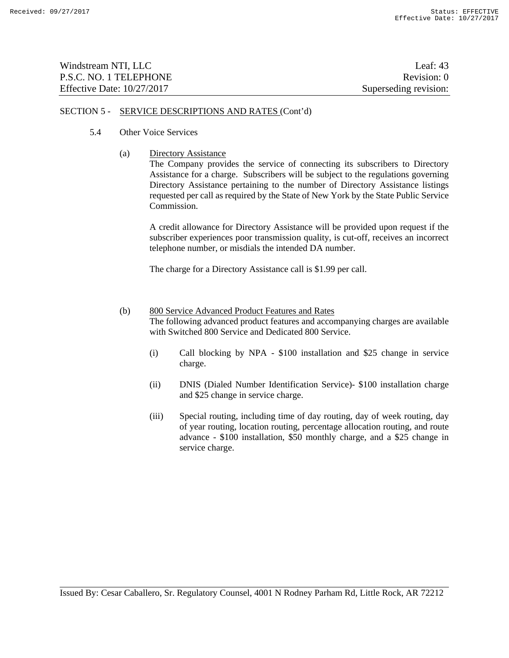| Windstream NTI, LLC          | Leaf: $43$            |
|------------------------------|-----------------------|
| P.S.C. NO. 1 TELEPHONE       | Revision: 0           |
| Effective Date: $10/27/2017$ | Superseding revision: |

- 5.4 Other Voice Services
	- (a) Directory Assistance

The Company provides the service of connecting its subscribers to Directory Assistance for a charge. Subscribers will be subject to the regulations governing Directory Assistance pertaining to the number of Directory Assistance listings requested per call as required by the State of New York by the State Public Service Commission.

A credit allowance for Directory Assistance will be provided upon request if the subscriber experiences poor transmission quality, is cut-off, receives an incorrect telephone number, or misdials the intended DA number.

The charge for a Directory Assistance call is \$1.99 per call.

- (b) 800 Service Advanced Product Features and Rates The following advanced product features and accompanying charges are available with Switched 800 Service and Dedicated 800 Service.
	- (i) Call blocking by NPA \$100 installation and \$25 change in service charge.
	- (ii) DNIS (Dialed Number Identification Service)- \$100 installation charge and \$25 change in service charge.
	- (iii) Special routing, including time of day routing, day of week routing, day of year routing, location routing, percentage allocation routing, and route advance - \$100 installation, \$50 monthly charge, and a \$25 change in service charge.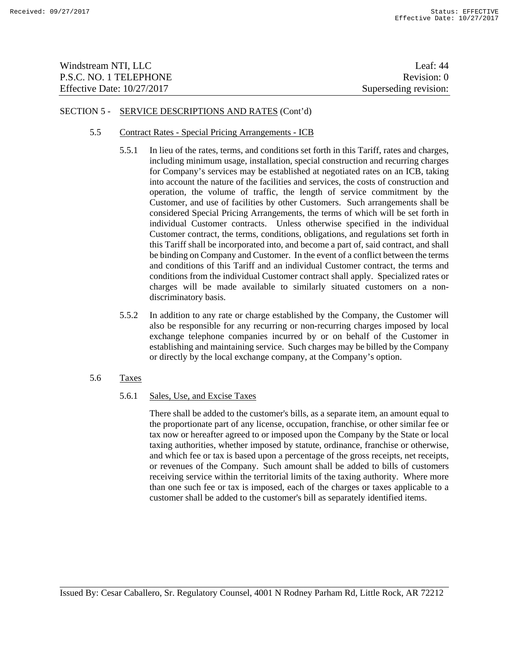| Windstream NTI, LLC          | Leaf: $44$            |
|------------------------------|-----------------------|
| P.S.C. NO. 1 TELEPHONE       | Revision: 0           |
| Effective Date: $10/27/2017$ | Superseding revision: |

### 5.5 Contract Rates - Special Pricing Arrangements - ICB

- 5.5.1 In lieu of the rates, terms, and conditions set forth in this Tariff, rates and charges, including minimum usage, installation, special construction and recurring charges for Company's services may be established at negotiated rates on an ICB, taking into account the nature of the facilities and services, the costs of construction and operation, the volume of traffic, the length of service commitment by the Customer, and use of facilities by other Customers. Such arrangements shall be considered Special Pricing Arrangements, the terms of which will be set forth in individual Customer contracts. Unless otherwise specified in the individual Customer contract, the terms, conditions, obligations, and regulations set forth in this Tariff shall be incorporated into, and become a part of, said contract, and shall be binding on Company and Customer. In the event of a conflict between the terms and conditions of this Tariff and an individual Customer contract, the terms and conditions from the individual Customer contract shall apply. Specialized rates or charges will be made available to similarly situated customers on a nondiscriminatory basis.
- 5.5.2 In addition to any rate or charge established by the Company, the Customer will also be responsible for any recurring or non-recurring charges imposed by local exchange telephone companies incurred by or on behalf of the Customer in establishing and maintaining service. Such charges may be billed by the Company or directly by the local exchange company, at the Company's option.
- 5.6 Taxes

# 5.6.1 Sales, Use, and Excise Taxes

There shall be added to the customer's bills, as a separate item, an amount equal to the proportionate part of any license, occupation, franchise, or other similar fee or tax now or hereafter agreed to or imposed upon the Company by the State or local taxing authorities, whether imposed by statute, ordinance, franchise or otherwise, and which fee or tax is based upon a percentage of the gross receipts, net receipts, or revenues of the Company. Such amount shall be added to bills of customers receiving service within the territorial limits of the taxing authority. Where more than one such fee or tax is imposed, each of the charges or taxes applicable to a customer shall be added to the customer's bill as separately identified items.